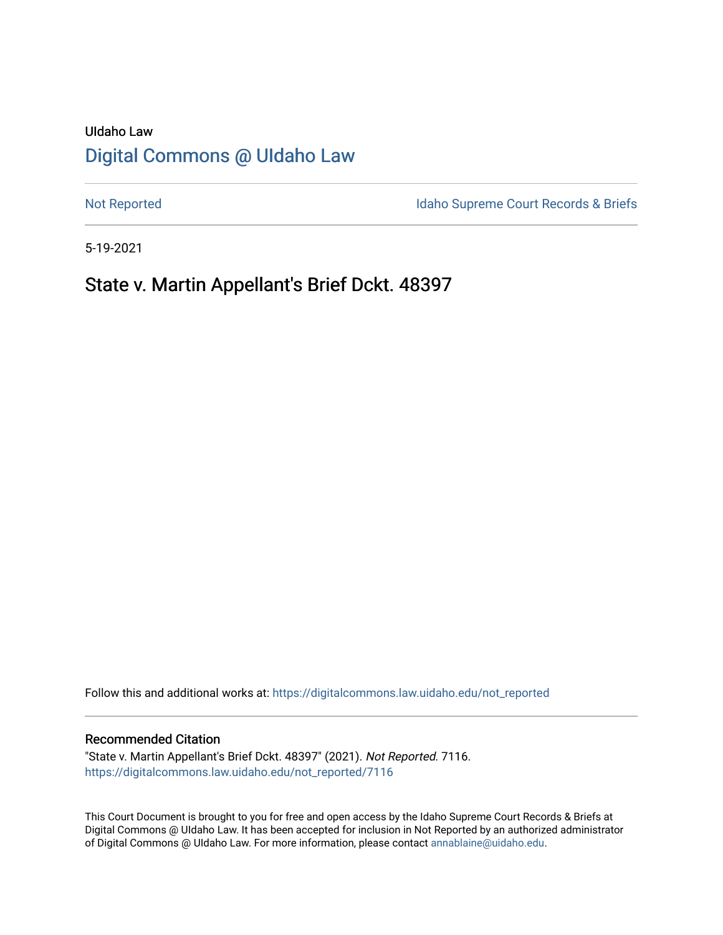# UIdaho Law [Digital Commons @ UIdaho Law](https://digitalcommons.law.uidaho.edu/)

[Not Reported](https://digitalcommons.law.uidaho.edu/not_reported) **Idaho Supreme Court Records & Briefs** 

5-19-2021

# State v. Martin Appellant's Brief Dckt. 48397

Follow this and additional works at: [https://digitalcommons.law.uidaho.edu/not\\_reported](https://digitalcommons.law.uidaho.edu/not_reported?utm_source=digitalcommons.law.uidaho.edu%2Fnot_reported%2F7116&utm_medium=PDF&utm_campaign=PDFCoverPages) 

#### Recommended Citation

"State v. Martin Appellant's Brief Dckt. 48397" (2021). Not Reported. 7116. [https://digitalcommons.law.uidaho.edu/not\\_reported/7116](https://digitalcommons.law.uidaho.edu/not_reported/7116?utm_source=digitalcommons.law.uidaho.edu%2Fnot_reported%2F7116&utm_medium=PDF&utm_campaign=PDFCoverPages)

This Court Document is brought to you for free and open access by the Idaho Supreme Court Records & Briefs at Digital Commons @ UIdaho Law. It has been accepted for inclusion in Not Reported by an authorized administrator of Digital Commons @ UIdaho Law. For more information, please contact [annablaine@uidaho.edu](mailto:annablaine@uidaho.edu).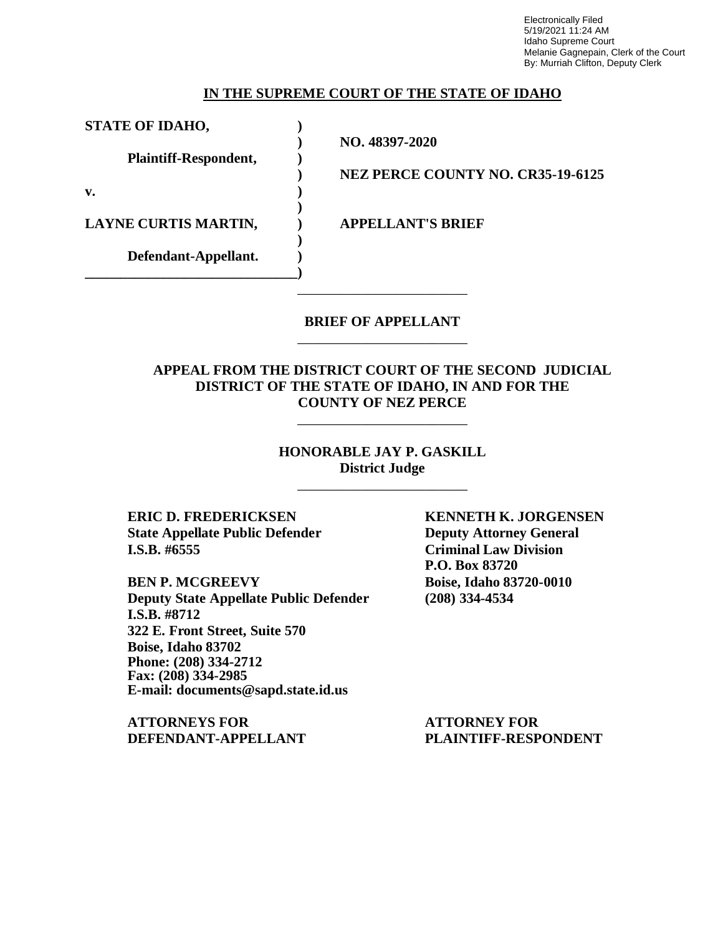Electronically Filed 5/19/2021 11:24 AM Idaho Supreme Court Melanie Gagnepain, Clerk of the Court By: Murriah Clifton, Deputy Clerk

#### **IN THE SUPREME COURT OF THE STATE OF IDAHO**

**STATE OF IDAHO, )**

**Plaintiff-Respondent, )**

**Defendant-Appellant. ) \_\_\_\_\_\_\_\_\_\_\_\_\_\_\_\_\_\_\_\_\_\_\_\_\_\_\_\_\_\_)**

**v. )**

**LAYNE CURTIS MARTIN, ) APPELLANT'S BRIEF**

**) NEZ PERCE COUNTY NO. CR35-19-6125**

**)**

**)**

**) NO. 48397-2020**

# **BRIEF OF APPELLANT** \_\_\_\_\_\_\_\_\_\_\_\_\_\_\_\_\_\_\_\_\_\_\_\_

\_\_\_\_\_\_\_\_\_\_\_\_\_\_\_\_\_\_\_\_\_\_\_\_

# **APPEAL FROM THE DISTRICT COURT OF THE SECOND JUDICIAL DISTRICT OF THE STATE OF IDAHO, IN AND FOR THE COUNTY OF NEZ PERCE**

\_\_\_\_\_\_\_\_\_\_\_\_\_\_\_\_\_\_\_\_\_\_\_\_

### **HONORABLE JAY P. GASKILL District Judge**

\_\_\_\_\_\_\_\_\_\_\_\_\_\_\_\_\_\_\_\_\_\_\_\_

**ERIC D. FREDERICKSEN KENNETH K. JORGENSEN State Appellate Public Defender Deputy Attorney General I.S.B. #6555 Criminal Law Division**

**BEN P. MCGREEVY Boise, Idaho 83720-0010 Deputy State Appellate Public Defender (208) 334-4534 I.S.B. #8712 322 E. Front Street, Suite 570 Boise, Idaho 83702 Phone: (208) 334-2712 Fax: (208) 334-2985 E-mail: documents@sapd.state.id.us**

**ATTORNEYS FOR ATTORNEY FOR DEFENDANT-APPELLANT PLAINTIFF-RESPONDENT**

**P.O. Box 83720**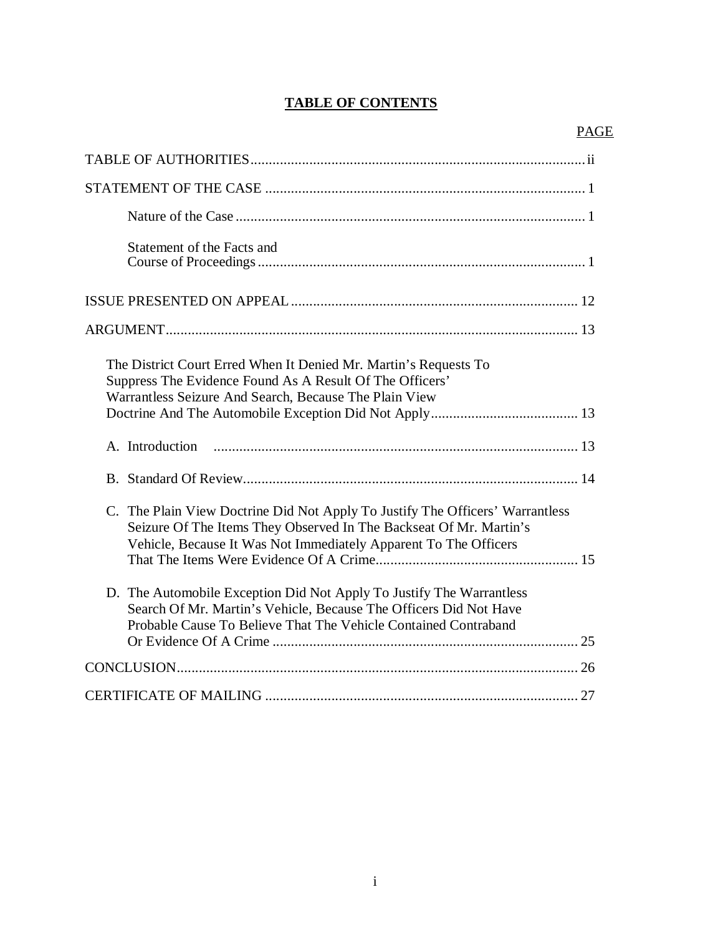# **TABLE OF CONTENTS**

| Statement of the Facts and                                                                                                                                                                                              |
|-------------------------------------------------------------------------------------------------------------------------------------------------------------------------------------------------------------------------|
|                                                                                                                                                                                                                         |
|                                                                                                                                                                                                                         |
| The District Court Erred When It Denied Mr. Martin's Requests To<br>Suppress The Evidence Found As A Result Of The Officers'<br>Warrantless Seizure And Search, Because The Plain View                                  |
|                                                                                                                                                                                                                         |
| A. Introduction                                                                                                                                                                                                         |
|                                                                                                                                                                                                                         |
| C. The Plain View Doctrine Did Not Apply To Justify The Officers' Warrantless<br>Seizure Of The Items They Observed In The Backseat Of Mr. Martin's<br>Vehicle, Because It Was Not Immediately Apparent To The Officers |
| D. The Automobile Exception Did Not Apply To Justify The Warrantless<br>Search Of Mr. Martin's Vehicle, Because The Officers Did Not Have<br>Probable Cause To Believe That The Vehicle Contained Contraband            |
|                                                                                                                                                                                                                         |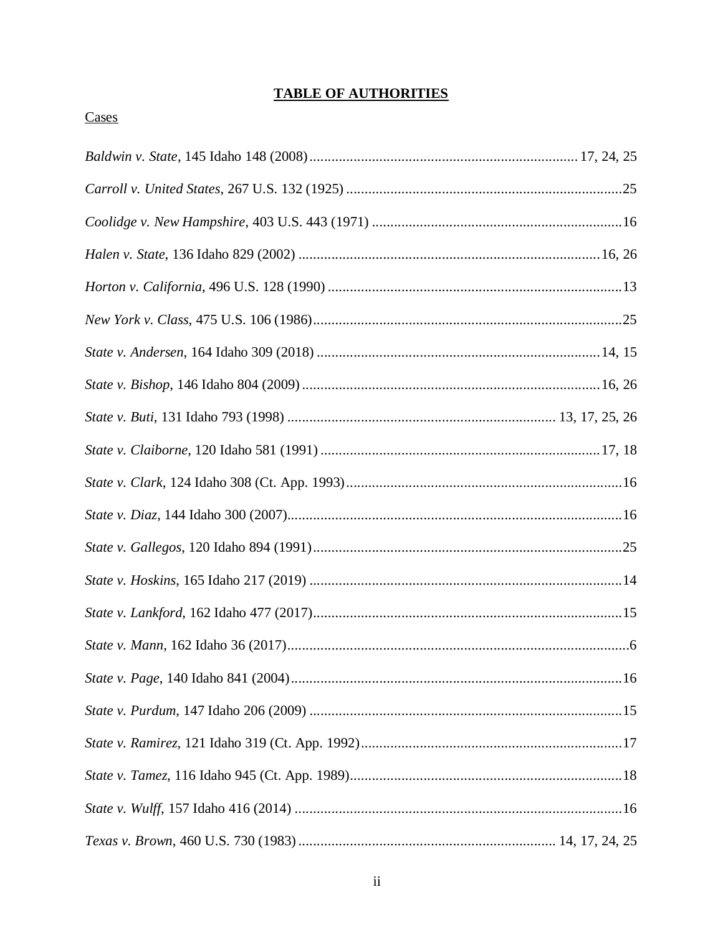# **TABLE OF AUTHORITIES**

# Cases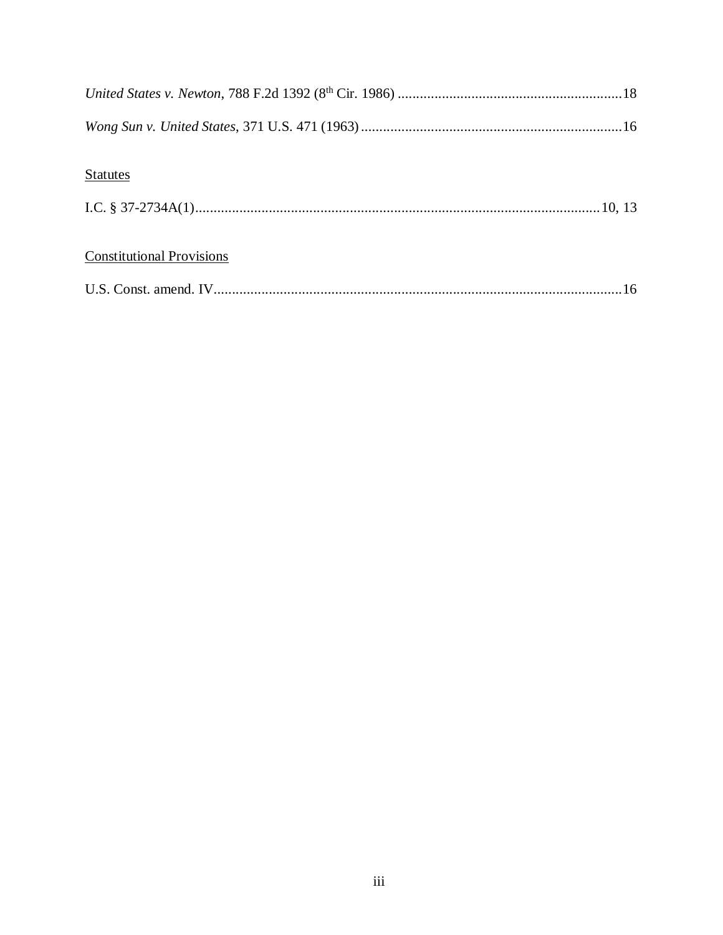| <b>Statutes</b>                  |  |
|----------------------------------|--|
|                                  |  |
| <b>Constitutional Provisions</b> |  |
|                                  |  |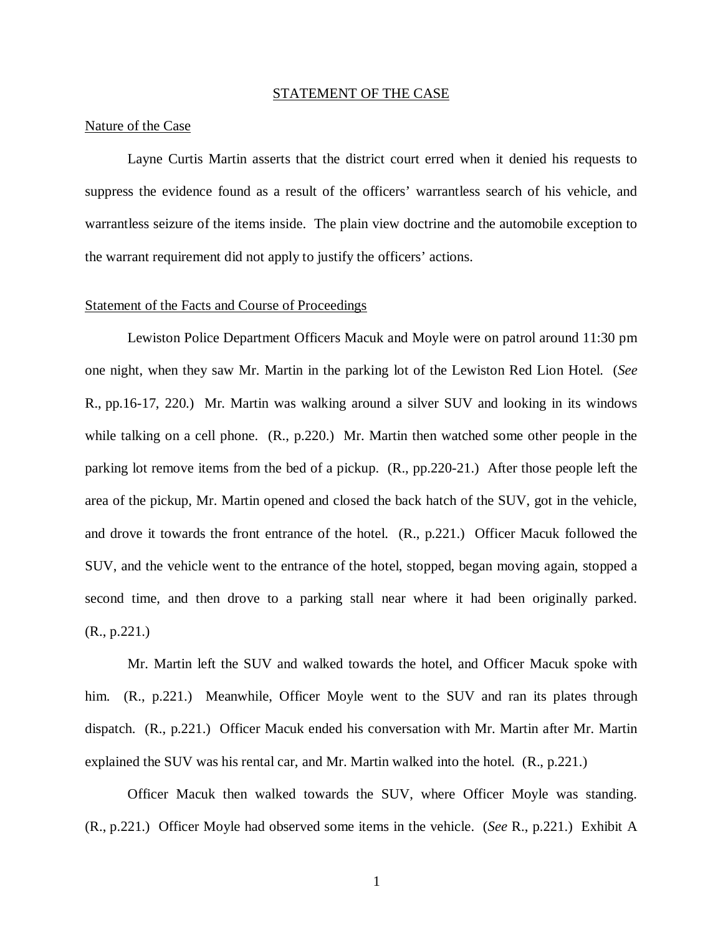#### STATEMENT OF THE CASE

#### Nature of the Case

Layne Curtis Martin asserts that the district court erred when it denied his requests to suppress the evidence found as a result of the officers' warrantless search of his vehicle, and warrantless seizure of the items inside. The plain view doctrine and the automobile exception to the warrant requirement did not apply to justify the officers' actions.

#### Statement of the Facts and Course of Proceedings

Lewiston Police Department Officers Macuk and Moyle were on patrol around 11:30 pm one night, when they saw Mr. Martin in the parking lot of the Lewiston Red Lion Hotel. (*See* R., pp.16-17, 220.) Mr. Martin was walking around a silver SUV and looking in its windows while talking on a cell phone. (R., p.220.) Mr. Martin then watched some other people in the parking lot remove items from the bed of a pickup. (R., pp.220-21.) After those people left the area of the pickup, Mr. Martin opened and closed the back hatch of the SUV, got in the vehicle, and drove it towards the front entrance of the hotel. (R., p.221.) Officer Macuk followed the SUV, and the vehicle went to the entrance of the hotel, stopped, began moving again, stopped a second time, and then drove to a parking stall near where it had been originally parked. (R., p.221.)

Mr. Martin left the SUV and walked towards the hotel, and Officer Macuk spoke with him. (R., p.221.) Meanwhile, Officer Moyle went to the SUV and ran its plates through dispatch. (R., p.221.) Officer Macuk ended his conversation with Mr. Martin after Mr. Martin explained the SUV was his rental car, and Mr. Martin walked into the hotel. (R., p.221.)

Officer Macuk then walked towards the SUV, where Officer Moyle was standing. (R., p.221.) Officer Moyle had observed some items in the vehicle. (*See* R., p.221.) Exhibit A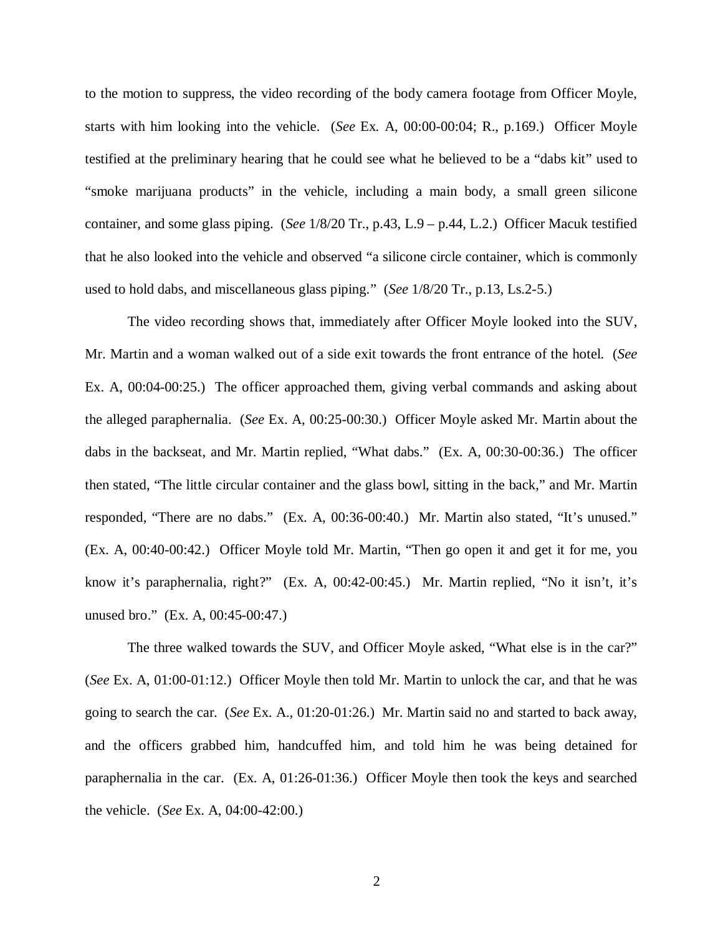to the motion to suppress, the video recording of the body camera footage from Officer Moyle, starts with him looking into the vehicle. (*See* Ex. A, 00:00-00:04; R., p.169.) Officer Moyle testified at the preliminary hearing that he could see what he believed to be a "dabs kit" used to "smoke marijuana products" in the vehicle, including a main body, a small green silicone container, and some glass piping. (*See* 1/8/20 Tr., p.43, L.9 – p.44, L.2.) Officer Macuk testified that he also looked into the vehicle and observed "a silicone circle container, which is commonly used to hold dabs, and miscellaneous glass piping." (*See* 1/8/20 Tr., p.13, Ls.2-5.)

The video recording shows that, immediately after Officer Moyle looked into the SUV, Mr. Martin and a woman walked out of a side exit towards the front entrance of the hotel. (*See* Ex. A, 00:04-00:25.) The officer approached them, giving verbal commands and asking about the alleged paraphernalia. (*See* Ex. A, 00:25-00:30.) Officer Moyle asked Mr. Martin about the dabs in the backseat, and Mr. Martin replied, "What dabs." (Ex. A, 00:30-00:36.) The officer then stated, "The little circular container and the glass bowl, sitting in the back," and Mr. Martin responded, "There are no dabs." (Ex. A, 00:36-00:40.) Mr. Martin also stated, "It's unused." (Ex. A, 00:40-00:42.) Officer Moyle told Mr. Martin, "Then go open it and get it for me, you know it's paraphernalia, right?" (Ex. A, 00:42-00:45.) Mr. Martin replied, "No it isn't, it's unused bro." (Ex. A, 00:45-00:47.)

The three walked towards the SUV, and Officer Moyle asked, "What else is in the car?" (*See* Ex. A, 01:00-01:12.) Officer Moyle then told Mr. Martin to unlock the car, and that he was going to search the car. (*See* Ex. A., 01:20-01:26.) Mr. Martin said no and started to back away, and the officers grabbed him, handcuffed him, and told him he was being detained for paraphernalia in the car. (Ex. A, 01:26-01:36.) Officer Moyle then took the keys and searched the vehicle. (*See* Ex. A, 04:00-42:00.)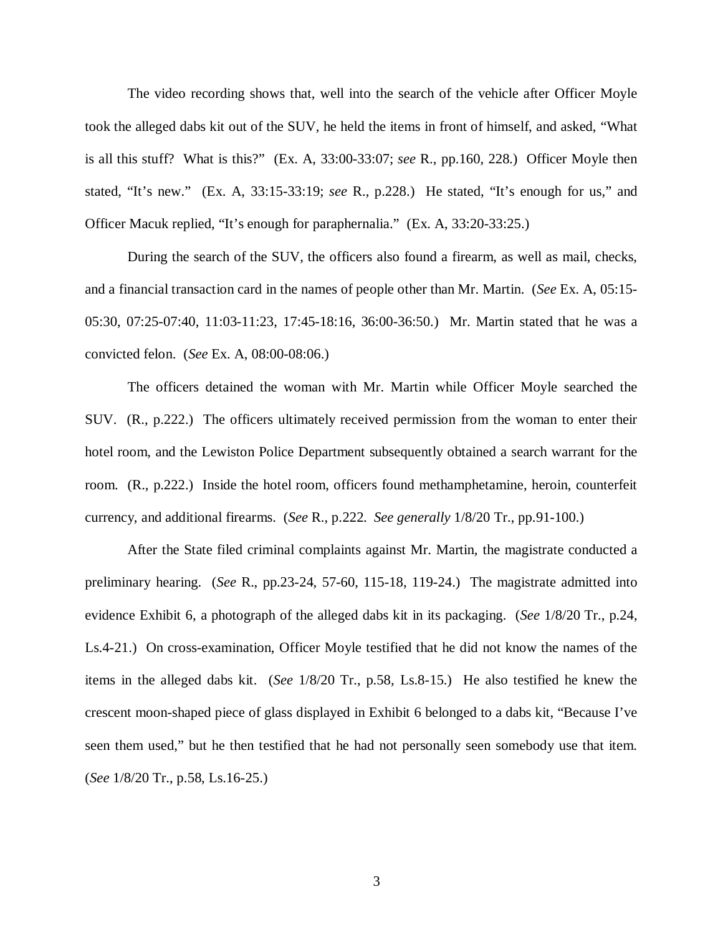The video recording shows that, well into the search of the vehicle after Officer Moyle took the alleged dabs kit out of the SUV, he held the items in front of himself, and asked, "What is all this stuff? What is this?" (Ex. A, 33:00-33:07; *see* R., pp.160, 228.) Officer Moyle then stated, "It's new." (Ex. A, 33:15-33:19; *see* R., p.228.) He stated, "It's enough for us," and Officer Macuk replied, "It's enough for paraphernalia." (Ex. A, 33:20-33:25.)

During the search of the SUV, the officers also found a firearm, as well as mail, checks, and a financial transaction card in the names of people other than Mr. Martin. (*See* Ex. A, 05:15- 05:30, 07:25-07:40, 11:03-11:23, 17:45-18:16, 36:00-36:50.) Mr. Martin stated that he was a convicted felon. (*See* Ex. A, 08:00-08:06.)

The officers detained the woman with Mr. Martin while Officer Moyle searched the SUV. (R., p.222.) The officers ultimately received permission from the woman to enter their hotel room, and the Lewiston Police Department subsequently obtained a search warrant for the room. (R., p.222.) Inside the hotel room, officers found methamphetamine, heroin, counterfeit currency, and additional firearms. (*See* R., p.222. *See generally* 1/8/20 Tr., pp.91-100.)

After the State filed criminal complaints against Mr. Martin, the magistrate conducted a preliminary hearing. (*See* R., pp.23-24, 57-60, 115-18, 119-24.) The magistrate admitted into evidence Exhibit 6, a photograph of the alleged dabs kit in its packaging. (*See* 1/8/20 Tr., p.24, Ls.4-21.) On cross-examination, Officer Moyle testified that he did not know the names of the items in the alleged dabs kit. (*See* 1/8/20 Tr., p.58, Ls.8-15.) He also testified he knew the crescent moon-shaped piece of glass displayed in Exhibit 6 belonged to a dabs kit, "Because I've seen them used," but he then testified that he had not personally seen somebody use that item. (*See* 1/8/20 Tr., p.58, Ls.16-25.)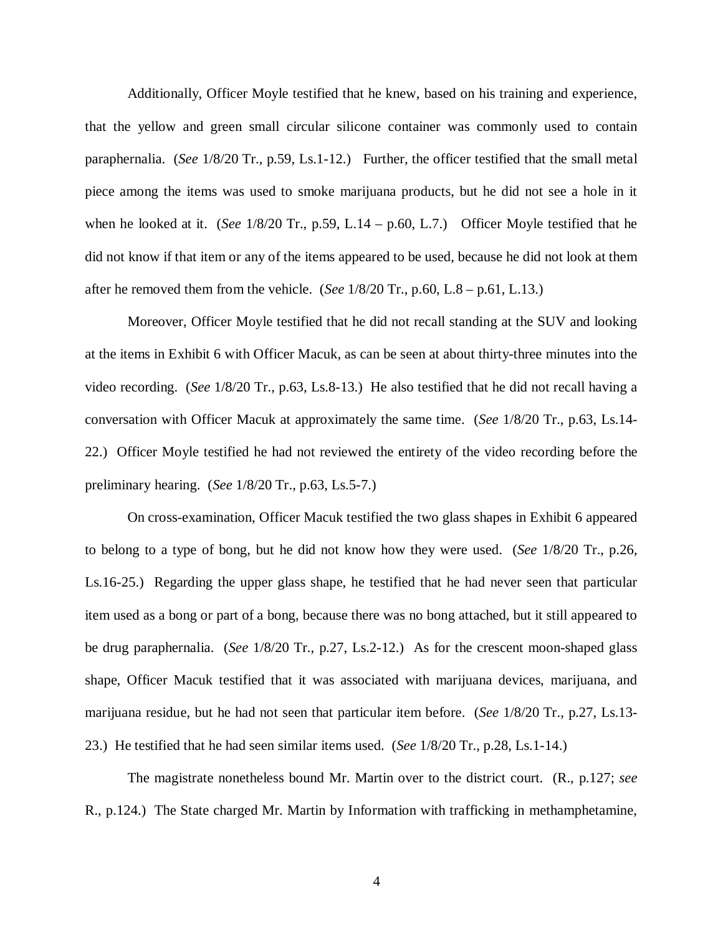Additionally, Officer Moyle testified that he knew, based on his training and experience, that the yellow and green small circular silicone container was commonly used to contain paraphernalia. (*See* 1/8/20 Tr., p.59, Ls.1-12.) Further, the officer testified that the small metal piece among the items was used to smoke marijuana products, but he did not see a hole in it when he looked at it. (*See* 1/8/20 Tr., p.59, L.14 – p.60, L.7.) Officer Moyle testified that he did not know if that item or any of the items appeared to be used, because he did not look at them after he removed them from the vehicle. (*See* 1/8/20 Tr., p.60, L.8 – p.61, L.13.)

Moreover, Officer Moyle testified that he did not recall standing at the SUV and looking at the items in Exhibit 6 with Officer Macuk, as can be seen at about thirty-three minutes into the video recording. (*See* 1/8/20 Tr., p.63, Ls.8-13.) He also testified that he did not recall having a conversation with Officer Macuk at approximately the same time. (*See* 1/8/20 Tr., p.63, Ls.14- 22.) Officer Moyle testified he had not reviewed the entirety of the video recording before the preliminary hearing. (*See* 1/8/20 Tr., p.63, Ls.5-7.)

On cross-examination, Officer Macuk testified the two glass shapes in Exhibit 6 appeared to belong to a type of bong, but he did not know how they were used. (*See* 1/8/20 Tr., p.26, Ls.16-25.) Regarding the upper glass shape, he testified that he had never seen that particular item used as a bong or part of a bong, because there was no bong attached, but it still appeared to be drug paraphernalia. (*See* 1/8/20 Tr., p.27, Ls.2-12.) As for the crescent moon-shaped glass shape, Officer Macuk testified that it was associated with marijuana devices, marijuana, and marijuana residue, but he had not seen that particular item before. (*See* 1/8/20 Tr., p.27, Ls.13- 23.) He testified that he had seen similar items used. (*See* 1/8/20 Tr., p.28, Ls.1-14.)

The magistrate nonetheless bound Mr. Martin over to the district court. (R., p.127; *see* R., p.124.) The State charged Mr. Martin by Information with trafficking in methamphetamine,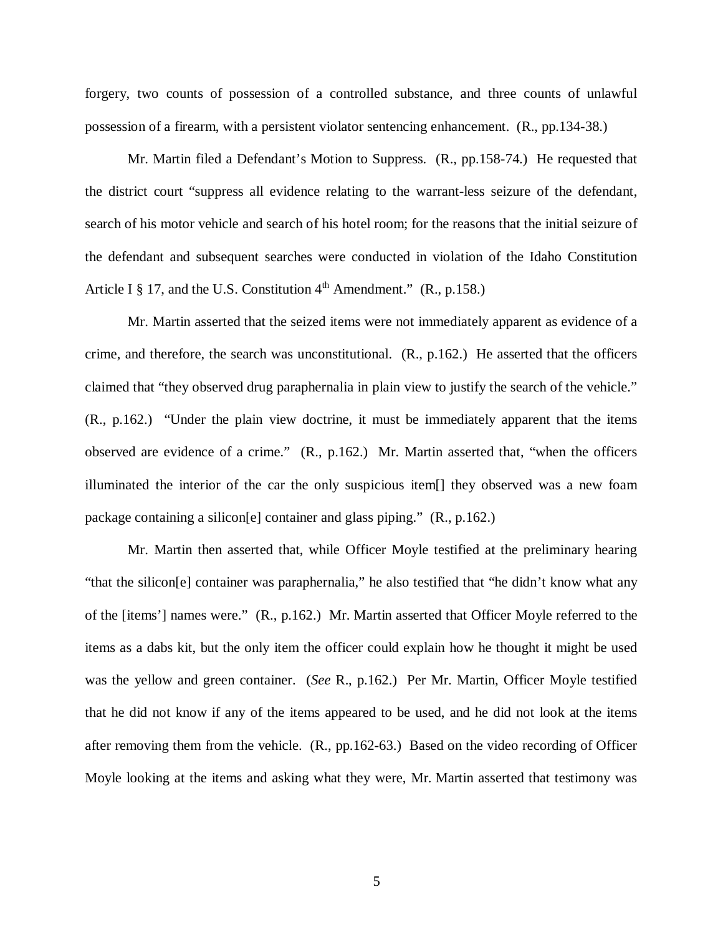forgery, two counts of possession of a controlled substance, and three counts of unlawful possession of a firearm, with a persistent violator sentencing enhancement. (R., pp.134-38.)

Mr. Martin filed a Defendant's Motion to Suppress. (R., pp.158-74.) He requested that the district court "suppress all evidence relating to the warrant-less seizure of the defendant, search of his motor vehicle and search of his hotel room; for the reasons that the initial seizure of the defendant and subsequent searches were conducted in violation of the Idaho Constitution Article I  $\S$  17, and the U.S. Constitution  $4<sup>th</sup>$  Amendment." (R., p.158.)

Mr. Martin asserted that the seized items were not immediately apparent as evidence of a crime, and therefore, the search was unconstitutional. (R., p.162.) He asserted that the officers claimed that "they observed drug paraphernalia in plain view to justify the search of the vehicle." (R., p.162.) "Under the plain view doctrine, it must be immediately apparent that the items observed are evidence of a crime." (R., p.162.) Mr. Martin asserted that, "when the officers illuminated the interior of the car the only suspicious item[] they observed was a new foam package containing a silicon[e] container and glass piping." (R., p.162.)

Mr. Martin then asserted that, while Officer Moyle testified at the preliminary hearing "that the silicon[e] container was paraphernalia," he also testified that "he didn't know what any of the [items'] names were." (R., p.162.) Mr. Martin asserted that Officer Moyle referred to the items as a dabs kit, but the only item the officer could explain how he thought it might be used was the yellow and green container. (*See* R., p.162.) Per Mr. Martin, Officer Moyle testified that he did not know if any of the items appeared to be used, and he did not look at the items after removing them from the vehicle. (R., pp.162-63.) Based on the video recording of Officer Moyle looking at the items and asking what they were, Mr. Martin asserted that testimony was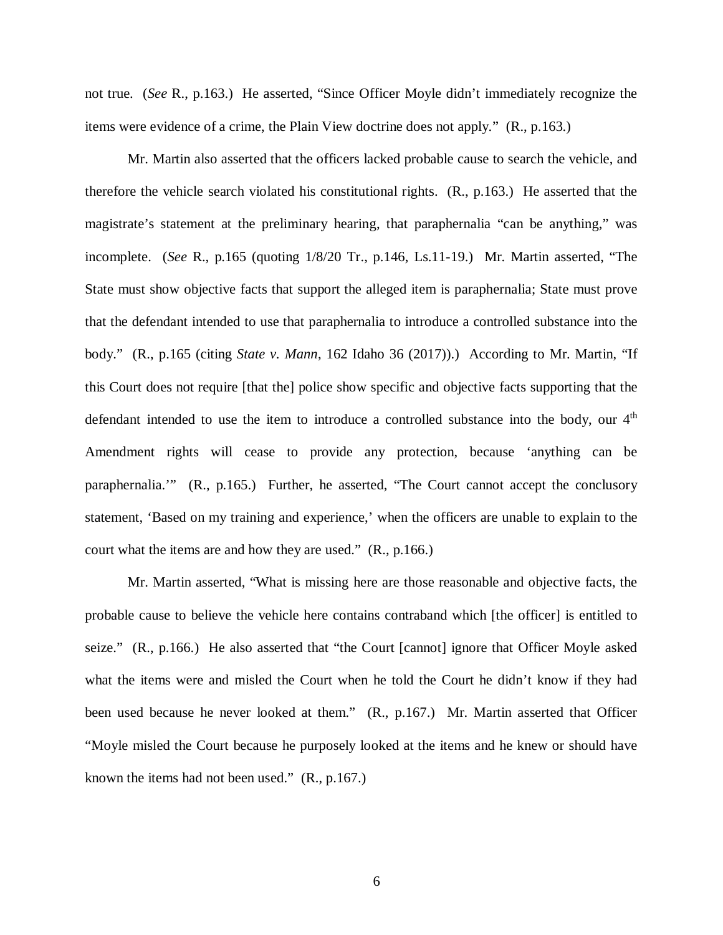not true. (*See* R., p.163.) He asserted, "Since Officer Moyle didn't immediately recognize the items were evidence of a crime, the Plain View doctrine does not apply." (R., p.163.)

Mr. Martin also asserted that the officers lacked probable cause to search the vehicle, and therefore the vehicle search violated his constitutional rights. (R., p.163.) He asserted that the magistrate's statement at the preliminary hearing, that paraphernalia "can be anything," was incomplete. (*See* R., p.165 (quoting 1/8/20 Tr., p.146, Ls.11-19.) Mr. Martin asserted, "The State must show objective facts that support the alleged item is paraphernalia; State must prove that the defendant intended to use that paraphernalia to introduce a controlled substance into the body." (R., p.165 (citing *State v. Mann*, 162 Idaho 36 (2017)).) According to Mr. Martin, "If this Court does not require [that the] police show specific and objective facts supporting that the defendant intended to use the item to introduce a controlled substance into the body, our  $4<sup>th</sup>$ Amendment rights will cease to provide any protection, because 'anything can be paraphernalia.'" (R., p.165.) Further, he asserted, "The Court cannot accept the conclusory statement, 'Based on my training and experience,' when the officers are unable to explain to the court what the items are and how they are used." (R., p.166.)

Mr. Martin asserted, "What is missing here are those reasonable and objective facts, the probable cause to believe the vehicle here contains contraband which [the officer] is entitled to seize." (R., p.166.) He also asserted that "the Court [cannot] ignore that Officer Moyle asked what the items were and misled the Court when he told the Court he didn't know if they had been used because he never looked at them." (R., p.167.) Mr. Martin asserted that Officer "Moyle misled the Court because he purposely looked at the items and he knew or should have known the items had not been used." (R., p.167.)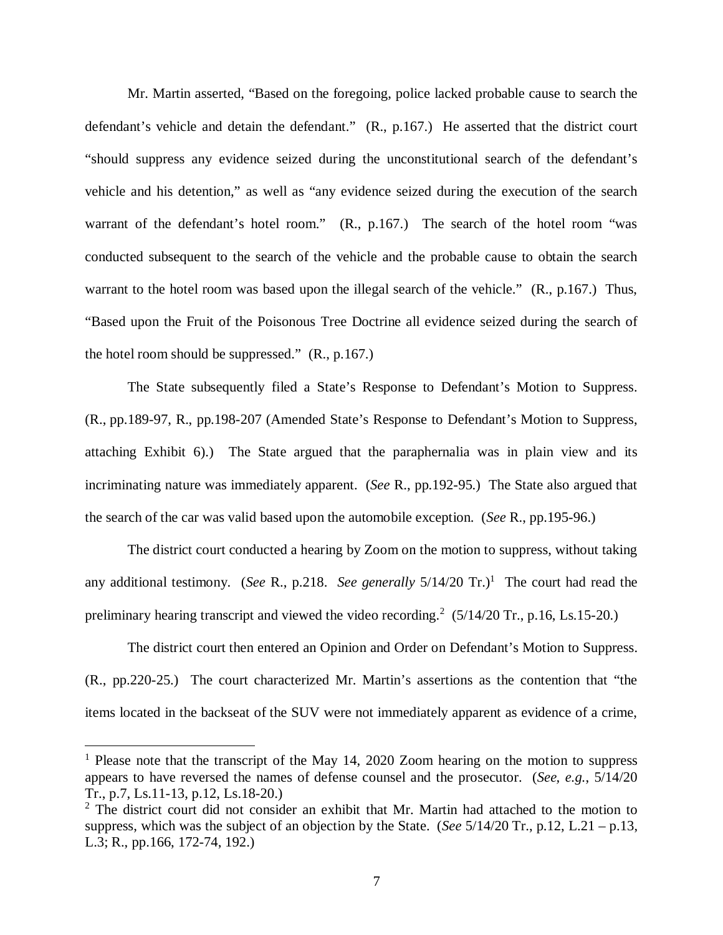Mr. Martin asserted, "Based on the foregoing, police lacked probable cause to search the defendant's vehicle and detain the defendant." (R., p.167.) He asserted that the district court "should suppress any evidence seized during the unconstitutional search of the defendant's vehicle and his detention," as well as "any evidence seized during the execution of the search warrant of the defendant's hotel room." (R., p.167.) The search of the hotel room "was conducted subsequent to the search of the vehicle and the probable cause to obtain the search warrant to the hotel room was based upon the illegal search of the vehicle." (R., p.167.) Thus, "Based upon the Fruit of the Poisonous Tree Doctrine all evidence seized during the search of the hotel room should be suppressed." (R., p.167.)

The State subsequently filed a State's Response to Defendant's Motion to Suppress. (R., pp.189-97, R., pp.198-207 (Amended State's Response to Defendant's Motion to Suppress, attaching Exhibit 6).) The State argued that the paraphernalia was in plain view and its incriminating nature was immediately apparent. (*See* R., pp.192-95.) The State also argued that the search of the car was valid based upon the automobile exception. (*See* R., pp.195-96.)

The district court conducted a hearing by Zoom on the motion to suppress, without taking any additional testimony. (*See* R., p.2[1](#page-11-0)8. *See generally*  $5/14/20$  Tr.)<sup>1</sup> The court had read the preliminary hearing transcript and viewed the video recording.<sup>[2](#page-11-1)</sup>  $(5/14/20 \text{ Tr}., p.16, Ls.15-20.)$ 

The district court then entered an Opinion and Order on Defendant's Motion to Suppress. (R., pp.220-25.) The court characterized Mr. Martin's assertions as the contention that "the items located in the backseat of the SUV were not immediately apparent as evidence of a crime,

<span id="page-11-0"></span><sup>&</sup>lt;sup>1</sup> Please note that the transcript of the May 14, 2020 Zoom hearing on the motion to suppress appears to have reversed the names of defense counsel and the prosecutor. (*See, e.g.*, 5/14/20 Tr., p.7, Ls.11-13, p.12, Ls.18-20.)

<span id="page-11-1"></span> $2$  The district court did not consider an exhibit that Mr. Martin had attached to the motion to suppress, which was the subject of an objection by the State. (*See* 5/14/20 Tr., p.12, L.21 – p.13, L.3; R., pp.166, 172-74, 192.)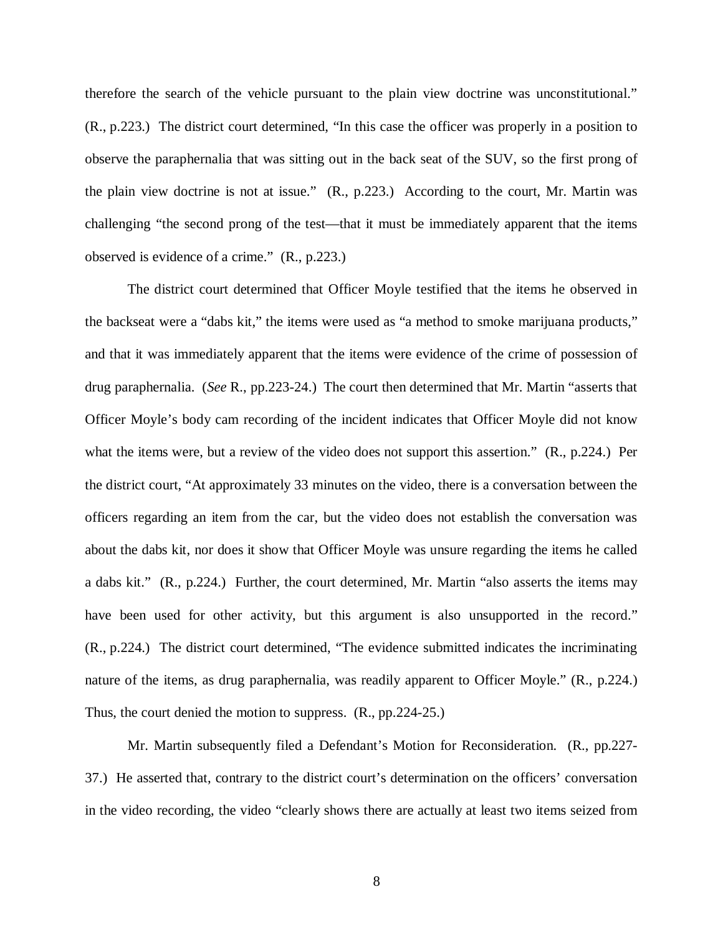therefore the search of the vehicle pursuant to the plain view doctrine was unconstitutional." (R., p.223.) The district court determined, "In this case the officer was properly in a position to observe the paraphernalia that was sitting out in the back seat of the SUV, so the first prong of the plain view doctrine is not at issue." (R., p.223.) According to the court, Mr. Martin was challenging "the second prong of the test—that it must be immediately apparent that the items observed is evidence of a crime." (R., p.223.)

The district court determined that Officer Moyle testified that the items he observed in the backseat were a "dabs kit," the items were used as "a method to smoke marijuana products," and that it was immediately apparent that the items were evidence of the crime of possession of drug paraphernalia. (*See* R., pp.223-24.) The court then determined that Mr. Martin "asserts that Officer Moyle's body cam recording of the incident indicates that Officer Moyle did not know what the items were, but a review of the video does not support this assertion." (R., p.224.) Per the district court, "At approximately 33 minutes on the video, there is a conversation between the officers regarding an item from the car, but the video does not establish the conversation was about the dabs kit, nor does it show that Officer Moyle was unsure regarding the items he called a dabs kit." (R., p.224.) Further, the court determined, Mr. Martin "also asserts the items may have been used for other activity, but this argument is also unsupported in the record." (R., p.224.) The district court determined, "The evidence submitted indicates the incriminating nature of the items, as drug paraphernalia, was readily apparent to Officer Moyle." (R., p.224.) Thus, the court denied the motion to suppress. (R., pp.224-25.)

Mr. Martin subsequently filed a Defendant's Motion for Reconsideration. (R., pp.227- 37.) He asserted that, contrary to the district court's determination on the officers' conversation in the video recording, the video "clearly shows there are actually at least two items seized from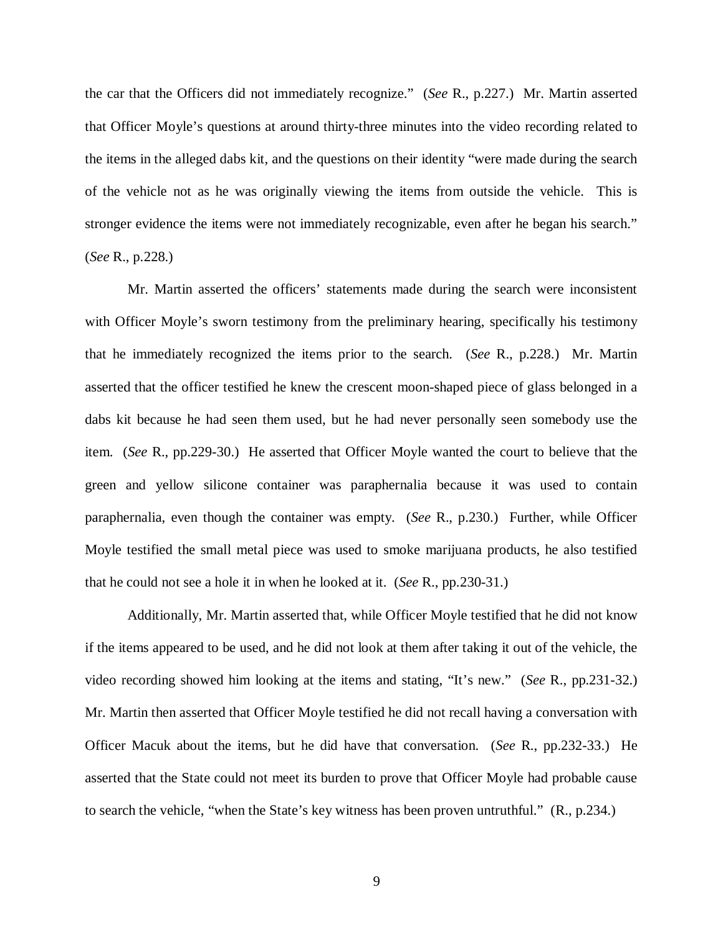the car that the Officers did not immediately recognize." (*See* R., p.227.) Mr. Martin asserted that Officer Moyle's questions at around thirty-three minutes into the video recording related to the items in the alleged dabs kit, and the questions on their identity "were made during the search of the vehicle not as he was originally viewing the items from outside the vehicle. This is stronger evidence the items were not immediately recognizable, even after he began his search." (*See* R., p.228.)

Mr. Martin asserted the officers' statements made during the search were inconsistent with Officer Moyle's sworn testimony from the preliminary hearing, specifically his testimony that he immediately recognized the items prior to the search. (*See* R., p.228.) Mr. Martin asserted that the officer testified he knew the crescent moon-shaped piece of glass belonged in a dabs kit because he had seen them used, but he had never personally seen somebody use the item. (*See* R., pp.229-30.) He asserted that Officer Moyle wanted the court to believe that the green and yellow silicone container was paraphernalia because it was used to contain paraphernalia, even though the container was empty. (*See* R., p.230.) Further, while Officer Moyle testified the small metal piece was used to smoke marijuana products, he also testified that he could not see a hole it in when he looked at it. (*See* R., pp.230-31.)

Additionally, Mr. Martin asserted that, while Officer Moyle testified that he did not know if the items appeared to be used, and he did not look at them after taking it out of the vehicle, the video recording showed him looking at the items and stating, "It's new." (*See* R., pp.231-32.) Mr. Martin then asserted that Officer Moyle testified he did not recall having a conversation with Officer Macuk about the items, but he did have that conversation. (*See* R., pp.232-33.) He asserted that the State could not meet its burden to prove that Officer Moyle had probable cause to search the vehicle, "when the State's key witness has been proven untruthful." (R., p.234.)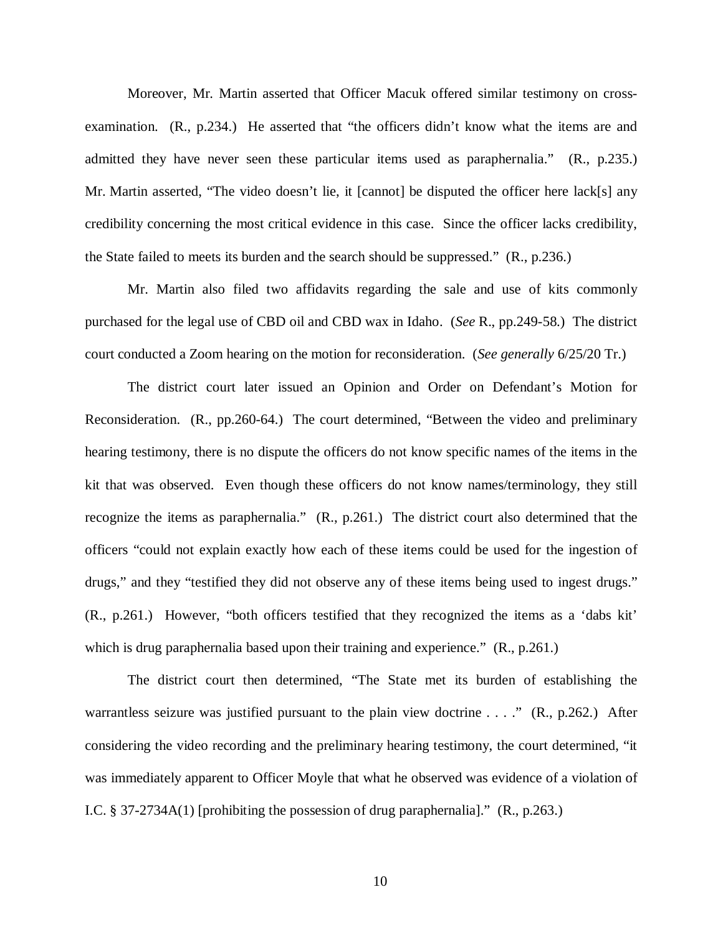Moreover, Mr. Martin asserted that Officer Macuk offered similar testimony on crossexamination. (R., p.234.) He asserted that "the officers didn't know what the items are and admitted they have never seen these particular items used as paraphernalia." (R., p.235.) Mr. Martin asserted, "The video doesn't lie, it [cannot] be disputed the officer here lack[s] any credibility concerning the most critical evidence in this case. Since the officer lacks credibility, the State failed to meets its burden and the search should be suppressed." (R., p.236.)

Mr. Martin also filed two affidavits regarding the sale and use of kits commonly purchased for the legal use of CBD oil and CBD wax in Idaho. (*See* R., pp.249-58.) The district court conducted a Zoom hearing on the motion for reconsideration. (*See generally* 6/25/20 Tr.)

The district court later issued an Opinion and Order on Defendant's Motion for Reconsideration. (R., pp.260-64.) The court determined, "Between the video and preliminary hearing testimony, there is no dispute the officers do not know specific names of the items in the kit that was observed. Even though these officers do not know names/terminology, they still recognize the items as paraphernalia." (R., p.261.) The district court also determined that the officers "could not explain exactly how each of these items could be used for the ingestion of drugs," and they "testified they did not observe any of these items being used to ingest drugs." (R., p.261.) However, "both officers testified that they recognized the items as a 'dabs kit' which is drug paraphernalia based upon their training and experience." (R., p.261.)

The district court then determined, "The State met its burden of establishing the warrantless seizure was justified pursuant to the plain view doctrine . . . ." (R., p.262.) After considering the video recording and the preliminary hearing testimony, the court determined, "it was immediately apparent to Officer Moyle that what he observed was evidence of a violation of I.C. § 37-2734A(1) [prohibiting the possession of drug paraphernalia]." (R., p.263.)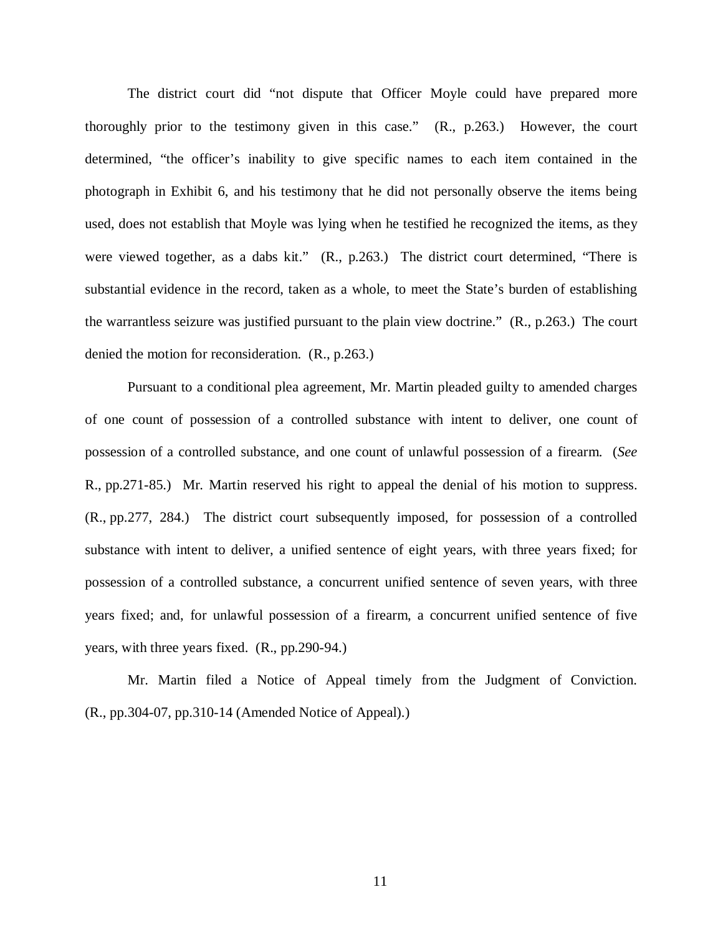The district court did "not dispute that Officer Moyle could have prepared more thoroughly prior to the testimony given in this case." (R., p.263.) However, the court determined, "the officer's inability to give specific names to each item contained in the photograph in Exhibit 6, and his testimony that he did not personally observe the items being used, does not establish that Moyle was lying when he testified he recognized the items, as they were viewed together, as a dabs kit." (R., p.263.) The district court determined, "There is substantial evidence in the record, taken as a whole, to meet the State's burden of establishing the warrantless seizure was justified pursuant to the plain view doctrine." (R., p.263.) The court denied the motion for reconsideration. (R., p.263.)

Pursuant to a conditional plea agreement, Mr. Martin pleaded guilty to amended charges of one count of possession of a controlled substance with intent to deliver, one count of possession of a controlled substance, and one count of unlawful possession of a firearm. (*See* R., pp.271-85.) Mr. Martin reserved his right to appeal the denial of his motion to suppress. (R., pp.277, 284.) The district court subsequently imposed, for possession of a controlled substance with intent to deliver, a unified sentence of eight years, with three years fixed; for possession of a controlled substance, a concurrent unified sentence of seven years, with three years fixed; and, for unlawful possession of a firearm, a concurrent unified sentence of five years, with three years fixed. (R., pp.290-94.)

Mr. Martin filed a Notice of Appeal timely from the Judgment of Conviction. (R., pp.304-07, pp.310-14 (Amended Notice of Appeal).)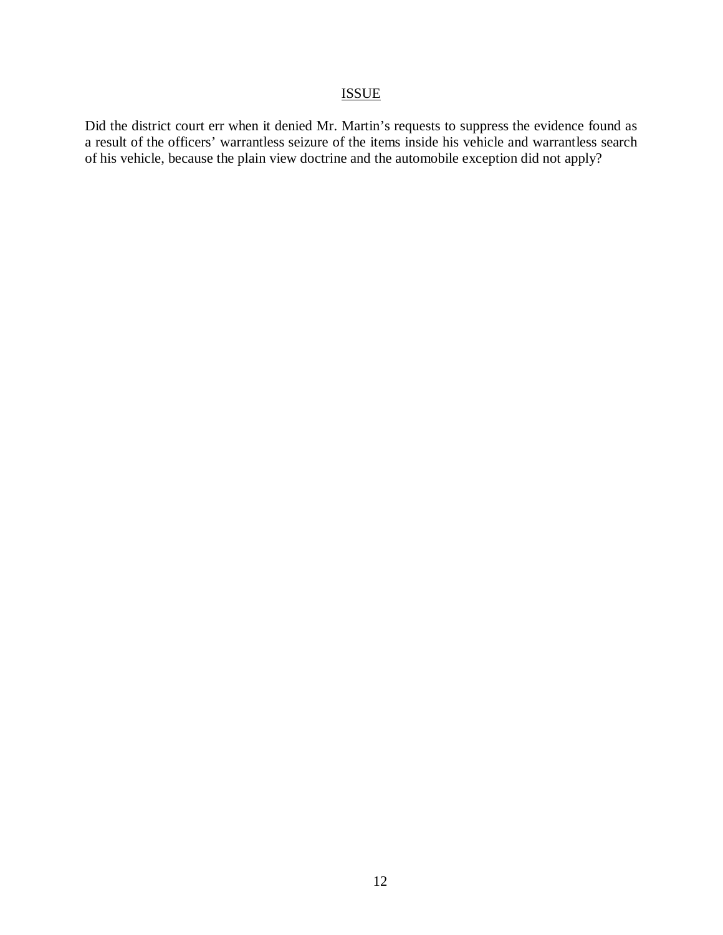# ISSUE

Did the district court err when it denied Mr. Martin's requests to suppress the evidence found as a result of the officers' warrantless seizure of the items inside his vehicle and warrantless search of his vehicle, because the plain view doctrine and the automobile exception did not apply?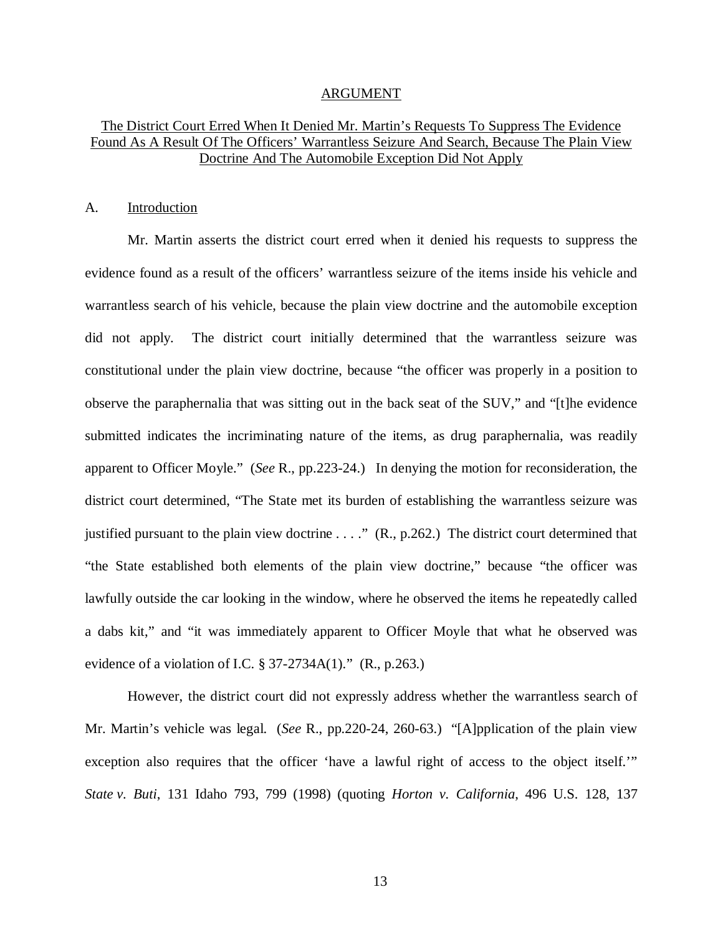#### ARGUMENT

## The District Court Erred When It Denied Mr. Martin's Requests To Suppress The Evidence Found As A Result Of The Officers' Warrantless Seizure And Search, Because The Plain View Doctrine And The Automobile Exception Did Not Apply

#### A. Introduction

Mr. Martin asserts the district court erred when it denied his requests to suppress the evidence found as a result of the officers' warrantless seizure of the items inside his vehicle and warrantless search of his vehicle, because the plain view doctrine and the automobile exception did not apply. The district court initially determined that the warrantless seizure was constitutional under the plain view doctrine, because "the officer was properly in a position to observe the paraphernalia that was sitting out in the back seat of the SUV," and "[t]he evidence submitted indicates the incriminating nature of the items, as drug paraphernalia, was readily apparent to Officer Moyle." (*See* R., pp.223-24.) In denying the motion for reconsideration, the district court determined, "The State met its burden of establishing the warrantless seizure was justified pursuant to the plain view doctrine . . . ." (R., p.262.) The district court determined that "the State established both elements of the plain view doctrine," because "the officer was lawfully outside the car looking in the window, where he observed the items he repeatedly called a dabs kit," and "it was immediately apparent to Officer Moyle that what he observed was evidence of a violation of I.C.  $\S 37-2734A(1)$ ." (R., p.263.)

However, the district court did not expressly address whether the warrantless search of Mr. Martin's vehicle was legal. (*See* R., pp.220-24, 260-63.) "[A]pplication of the plain view exception also requires that the officer 'have a lawful right of access to the object itself.'" *State v. Buti*, 131 Idaho 793, 799 (1998) (quoting *Horton v. California*, 496 U.S. 128, 137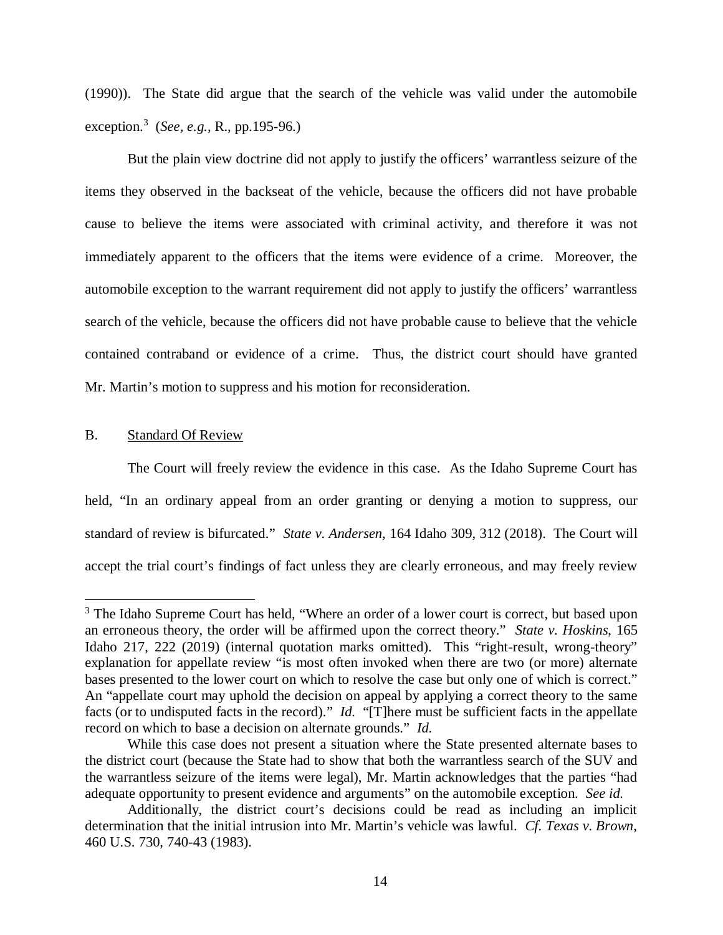(1990)). The State did argue that the search of the vehicle was valid under the automobile exception.[3](#page-18-0) (*See, e.g.*, R., pp.195-96.)

But the plain view doctrine did not apply to justify the officers' warrantless seizure of the items they observed in the backseat of the vehicle, because the officers did not have probable cause to believe the items were associated with criminal activity, and therefore it was not immediately apparent to the officers that the items were evidence of a crime. Moreover, the automobile exception to the warrant requirement did not apply to justify the officers' warrantless search of the vehicle, because the officers did not have probable cause to believe that the vehicle contained contraband or evidence of a crime. Thus, the district court should have granted Mr. Martin's motion to suppress and his motion for reconsideration.

### B. Standard Of Review

The Court will freely review the evidence in this case. As the Idaho Supreme Court has held, "In an ordinary appeal from an order granting or denying a motion to suppress, our standard of review is bifurcated." *State v. Andersen*, 164 Idaho 309, 312 (2018). The Court will accept the trial court's findings of fact unless they are clearly erroneous, and may freely review

<span id="page-18-0"></span><sup>&</sup>lt;sup>3</sup> The Idaho Supreme Court has held, "Where an order of a lower court is correct, but based upon an erroneous theory, the order will be affirmed upon the correct theory." *State v. Hoskins*, 165 Idaho 217, 222 (2019) (internal quotation marks omitted). This "right-result, wrong-theory" explanation for appellate review "is most often invoked when there are two (or more) alternate bases presented to the lower court on which to resolve the case but only one of which is correct." An "appellate court may uphold the decision on appeal by applying a correct theory to the same facts (or to undisputed facts in the record)." *Id.* "[T]here must be sufficient facts in the appellate record on which to base a decision on alternate grounds." *Id.*

While this case does not present a situation where the State presented alternate bases to the district court (because the State had to show that both the warrantless search of the SUV and the warrantless seizure of the items were legal), Mr. Martin acknowledges that the parties "had adequate opportunity to present evidence and arguments" on the automobile exception. *See id.*

Additionally, the district court's decisions could be read as including an implicit determination that the initial intrusion into Mr. Martin's vehicle was lawful. *Cf. Texas v. Brown*, 460 U.S. 730, 740-43 (1983).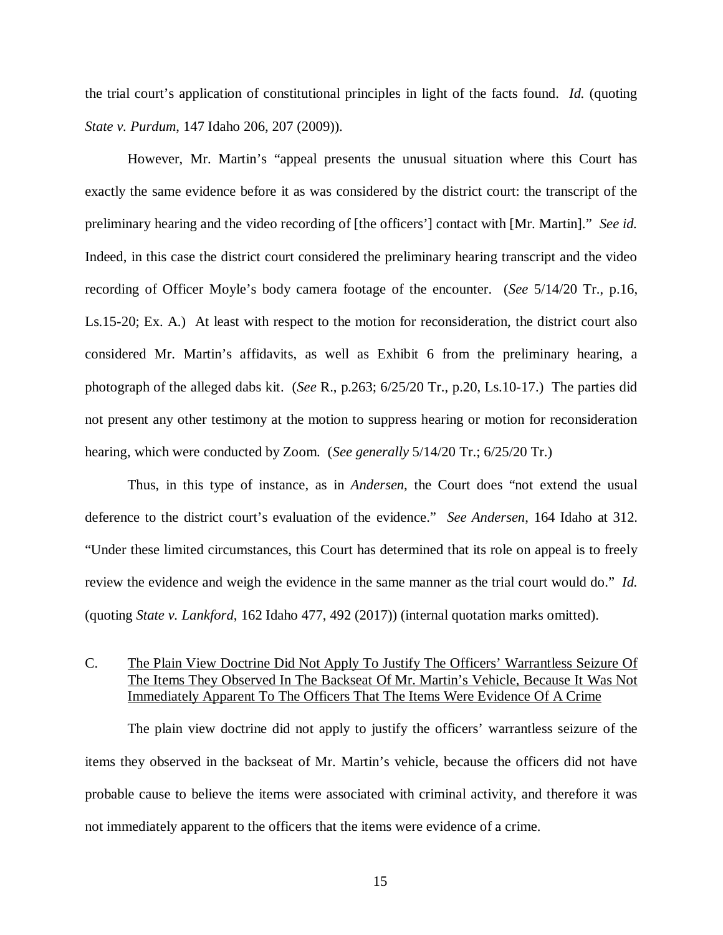the trial court's application of constitutional principles in light of the facts found. *Id.* (quoting *State v. Purdum*, 147 Idaho 206, 207 (2009)).

However, Mr. Martin's "appeal presents the unusual situation where this Court has exactly the same evidence before it as was considered by the district court: the transcript of the preliminary hearing and the video recording of [the officers'] contact with [Mr. Martin]." *See id.* Indeed, in this case the district court considered the preliminary hearing transcript and the video recording of Officer Moyle's body camera footage of the encounter. (*See* 5/14/20 Tr., p.16, Ls.15-20; Ex. A.) At least with respect to the motion for reconsideration, the district court also considered Mr. Martin's affidavits, as well as Exhibit 6 from the preliminary hearing, a photograph of the alleged dabs kit. (*See* R., p.263; 6/25/20 Tr., p.20, Ls.10-17.) The parties did not present any other testimony at the motion to suppress hearing or motion for reconsideration hearing, which were conducted by Zoom. (*See generally* 5/14/20 Tr.; 6/25/20 Tr.)

Thus, in this type of instance, as in *Andersen*, the Court does "not extend the usual deference to the district court's evaluation of the evidence." *See Andersen*, 164 Idaho at 312. "Under these limited circumstances, this Court has determined that its role on appeal is to freely review the evidence and weigh the evidence in the same manner as the trial court would do." *Id.* (quoting *State v. Lankford*, 162 Idaho 477, 492 (2017)) (internal quotation marks omitted).

## C. The Plain View Doctrine Did Not Apply To Justify The Officers' Warrantless Seizure Of The Items They Observed In The Backseat Of Mr. Martin's Vehicle, Because It Was Not Immediately Apparent To The Officers That The Items Were Evidence Of A Crime

The plain view doctrine did not apply to justify the officers' warrantless seizure of the items they observed in the backseat of Mr. Martin's vehicle, because the officers did not have probable cause to believe the items were associated with criminal activity, and therefore it was not immediately apparent to the officers that the items were evidence of a crime.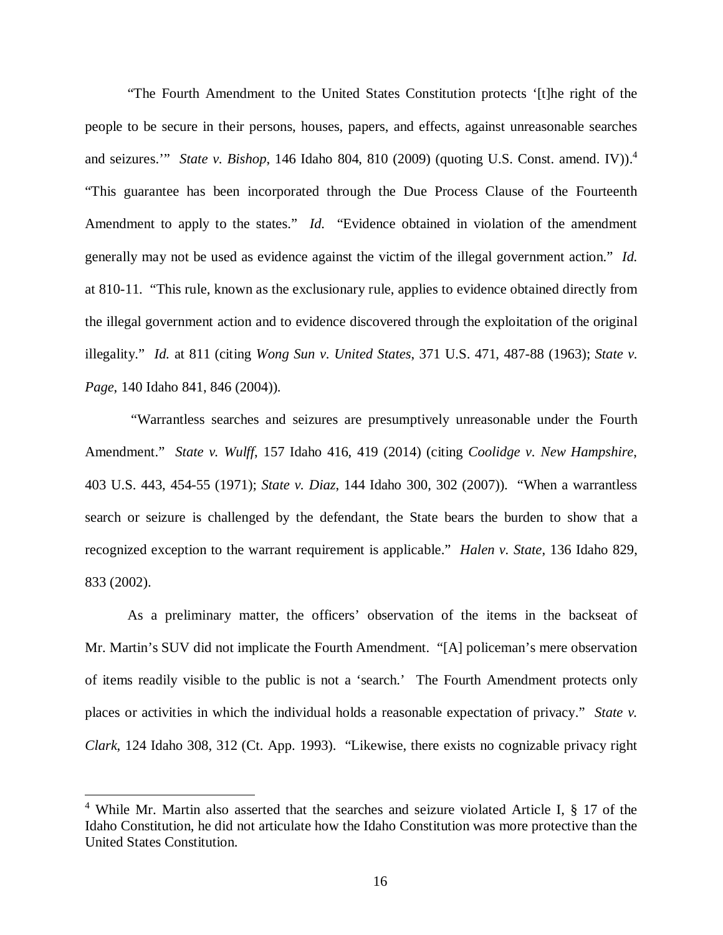"The Fourth Amendment to the United States Constitution protects '[t]he right of the people to be secure in their persons, houses, papers, and effects, against unreasonable searches and seizures."" *State v. Bishop*, 1[4](#page-20-0)6 Idaho 804, 810 (2009) (quoting U.S. Const. amend. IV)).<sup>4</sup> "This guarantee has been incorporated through the Due Process Clause of the Fourteenth Amendment to apply to the states." *Id.* "Evidence obtained in violation of the amendment generally may not be used as evidence against the victim of the illegal government action." *Id.* at 810-11. "This rule, known as the exclusionary rule, applies to evidence obtained directly from the illegal government action and to evidence discovered through the exploitation of the original illegality." *Id.* at 811 (citing *Wong Sun v. United States*, 371 U.S. 471, 487-88 (1963); *State v. Page*, 140 Idaho 841, 846 (2004)).

 "Warrantless searches and seizures are presumptively unreasonable under the Fourth Amendment." *State v. Wulff*, 157 Idaho 416, 419 (2014) (citing *Coolidge v. New Hampshire*, 403 U.S. 443, 454-55 (1971); *State v. Diaz*, 144 Idaho 300, 302 (2007)). "When a warrantless search or seizure is challenged by the defendant, the State bears the burden to show that a recognized exception to the warrant requirement is applicable." *Halen v. State*, 136 Idaho 829, 833 (2002).

As a preliminary matter, the officers' observation of the items in the backseat of Mr. Martin's SUV did not implicate the Fourth Amendment. "[A] policeman's mere observation of items readily visible to the public is not a 'search.' The Fourth Amendment protects only places or activities in which the individual holds a reasonable expectation of privacy." *State v. Clark*, 124 Idaho 308, 312 (Ct. App. 1993). "Likewise, there exists no cognizable privacy right

<span id="page-20-0"></span><sup>&</sup>lt;sup>4</sup> While Mr. Martin also asserted that the searches and seizure violated Article I, § 17 of the Idaho Constitution, he did not articulate how the Idaho Constitution was more protective than the United States Constitution.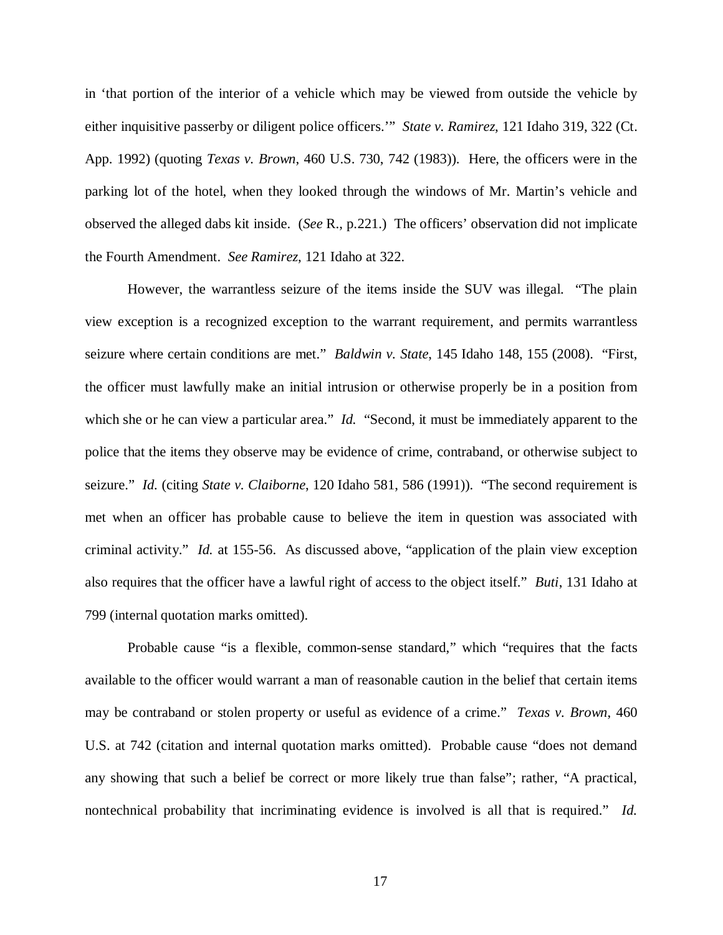in 'that portion of the interior of a vehicle which may be viewed from outside the vehicle by either inquisitive passerby or diligent police officers.'" *State v. Ramirez*, 121 Idaho 319, 322 (Ct. App. 1992) (quoting *Texas v. Brown*, 460 U.S. 730, 742 (1983)). Here, the officers were in the parking lot of the hotel, when they looked through the windows of Mr. Martin's vehicle and observed the alleged dabs kit inside. (*See* R., p.221.) The officers' observation did not implicate the Fourth Amendment. *See Ramirez*, 121 Idaho at 322.

However, the warrantless seizure of the items inside the SUV was illegal. "The plain view exception is a recognized exception to the warrant requirement, and permits warrantless seizure where certain conditions are met." *Baldwin v. State*, 145 Idaho 148, 155 (2008). "First, the officer must lawfully make an initial intrusion or otherwise properly be in a position from which she or he can view a particular area." *Id.* "Second, it must be immediately apparent to the police that the items they observe may be evidence of crime, contraband, or otherwise subject to seizure." *Id.* (citing *State v. Claiborne*, 120 Idaho 581, 586 (1991)). "The second requirement is met when an officer has probable cause to believe the item in question was associated with criminal activity." *Id.* at 155-56. As discussed above, "application of the plain view exception also requires that the officer have a lawful right of access to the object itself." *Buti*, 131 Idaho at 799 (internal quotation marks omitted).

Probable cause "is a flexible, common-sense standard," which "requires that the facts available to the officer would warrant a man of reasonable caution in the belief that certain items may be contraband or stolen property or useful as evidence of a crime." *Texas v. Brown*, 460 U.S. at 742 (citation and internal quotation marks omitted). Probable cause "does not demand any showing that such a belief be correct or more likely true than false"; rather, "A practical, nontechnical probability that incriminating evidence is involved is all that is required." *Id.*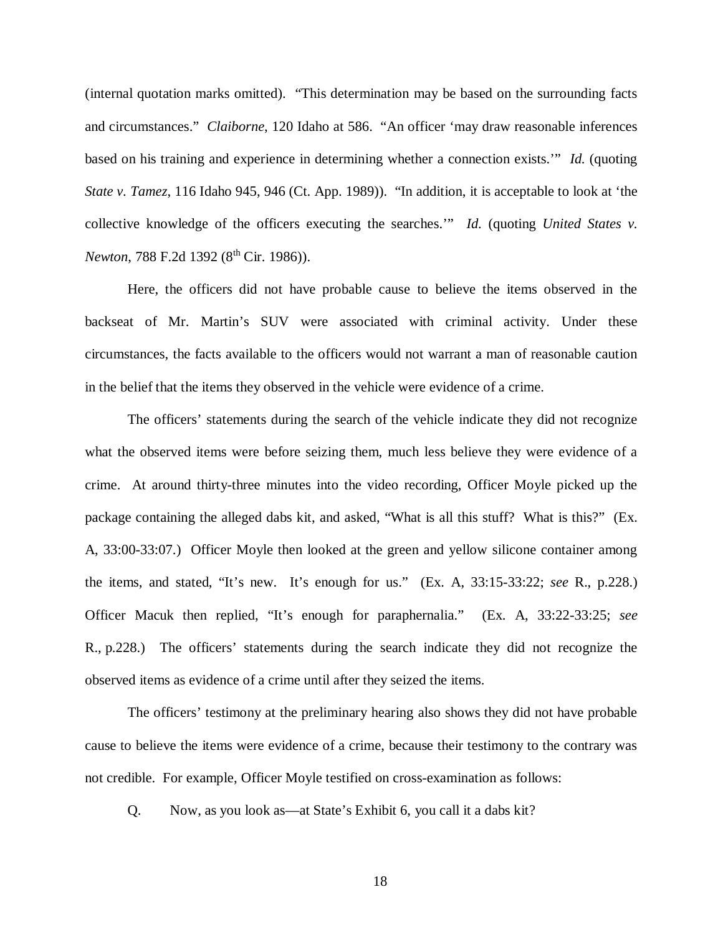(internal quotation marks omitted). "This determination may be based on the surrounding facts and circumstances." *Claiborne*, 120 Idaho at 586. "An officer 'may draw reasonable inferences based on his training and experience in determining whether a connection exists.'" *Id.* (quoting *State v. Tamez*, 116 Idaho 945, 946 (Ct. App. 1989)). "In addition, it is acceptable to look at 'the collective knowledge of the officers executing the searches.'" *Id.* (quoting *United States v. Newton*, 788 F.2d 1392 (8<sup>th</sup> Cir. 1986)).

Here, the officers did not have probable cause to believe the items observed in the backseat of Mr. Martin's SUV were associated with criminal activity. Under these circumstances, the facts available to the officers would not warrant a man of reasonable caution in the belief that the items they observed in the vehicle were evidence of a crime.

The officers' statements during the search of the vehicle indicate they did not recognize what the observed items were before seizing them, much less believe they were evidence of a crime. At around thirty-three minutes into the video recording, Officer Moyle picked up the package containing the alleged dabs kit, and asked, "What is all this stuff? What is this?" (Ex. A, 33:00-33:07.) Officer Moyle then looked at the green and yellow silicone container among the items, and stated, "It's new. It's enough for us." (Ex. A, 33:15-33:22; *see* R., p.228.) Officer Macuk then replied, "It's enough for paraphernalia." (Ex. A, 33:22-33:25; *see* R., p.228.) The officers' statements during the search indicate they did not recognize the observed items as evidence of a crime until after they seized the items.

The officers' testimony at the preliminary hearing also shows they did not have probable cause to believe the items were evidence of a crime, because their testimony to the contrary was not credible. For example, Officer Moyle testified on cross-examination as follows:

Q. Now, as you look as—at State's Exhibit 6, you call it a dabs kit?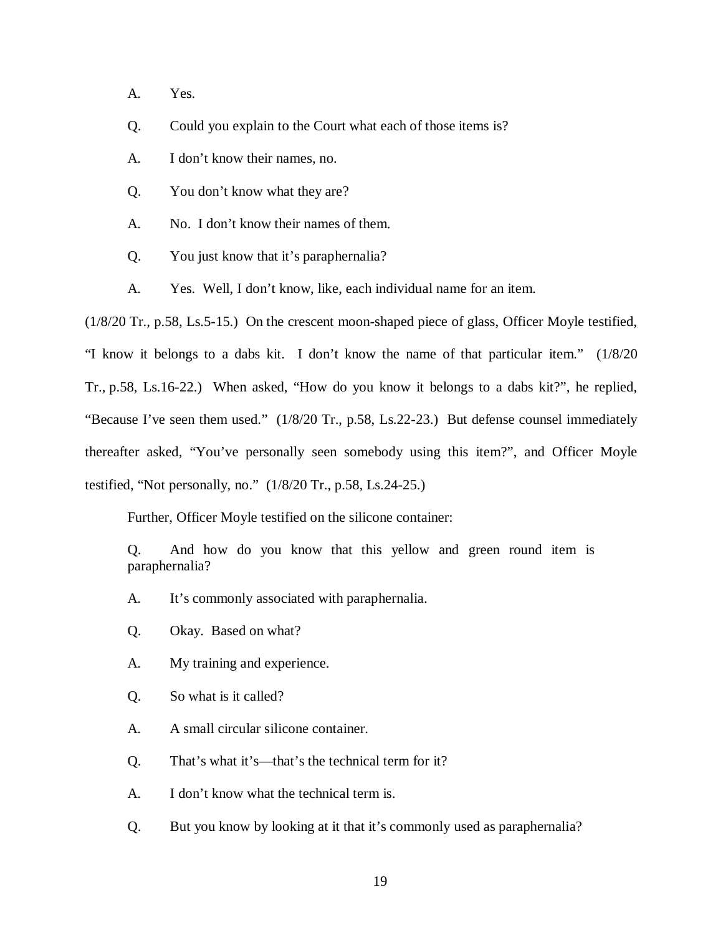- A. Yes.
- Q. Could you explain to the Court what each of those items is?
- A. I don't know their names, no.
- Q. You don't know what they are?
- A. No. I don't know their names of them.
- Q. You just know that it's paraphernalia?
- A. Yes. Well, I don't know, like, each individual name for an item.

(1/8/20 Tr., p.58, Ls.5-15.) On the crescent moon-shaped piece of glass, Officer Moyle testified, "I know it belongs to a dabs kit. I don't know the name of that particular item." (1/8/20 Tr., p.58, Ls.16-22.) When asked, "How do you know it belongs to a dabs kit?", he replied, "Because I've seen them used." (1/8/20 Tr., p.58, Ls.22-23.) But defense counsel immediately thereafter asked, "You've personally seen somebody using this item?", and Officer Moyle testified, "Not personally, no." (1/8/20 Tr., p.58, Ls.24-25.)

Further, Officer Moyle testified on the silicone container:

Q. And how do you know that this yellow and green round item is paraphernalia?

- A. It's commonly associated with paraphernalia.
- Q. Okay. Based on what?
- A. My training and experience.
- Q. So what is it called?
- A. A small circular silicone container.
- Q. That's what it's—that's the technical term for it?
- A. I don't know what the technical term is.
- Q. But you know by looking at it that it's commonly used as paraphernalia?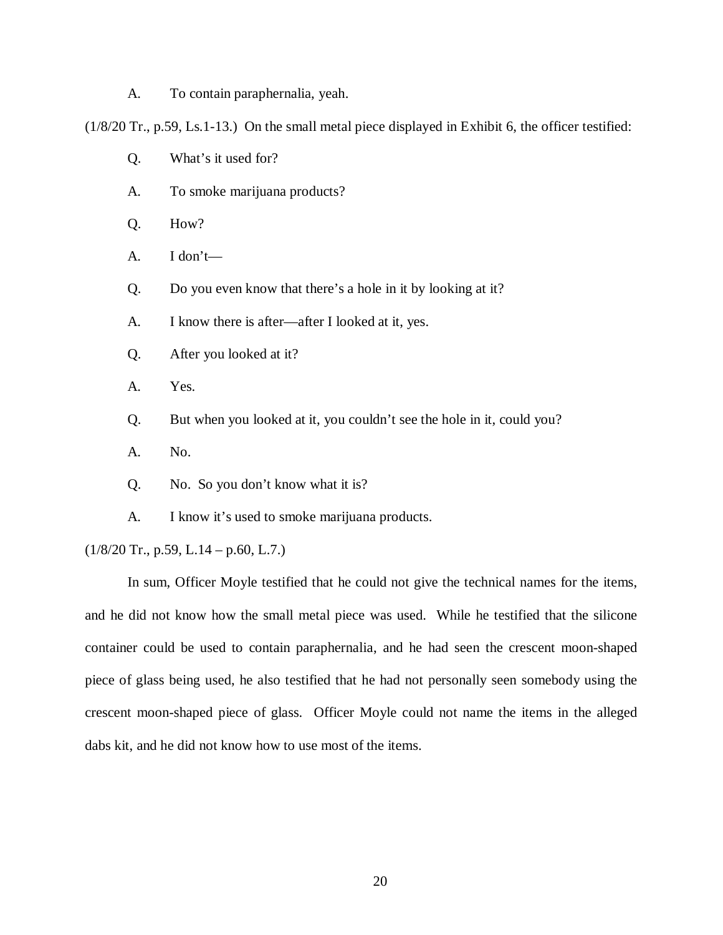A. To contain paraphernalia, yeah.

(1/8/20 Tr., p.59, Ls.1-13.) On the small metal piece displayed in Exhibit 6, the officer testified:

- Q. What's it used for?
- A. To smoke marijuana products?
- Q. How?
- A. I don't—
- Q. Do you even know that there's a hole in it by looking at it?
- A. I know there is after—after I looked at it, yes.
- Q. After you looked at it?
- A. Yes.
- Q. But when you looked at it, you couldn't see the hole in it, could you?
- A. No.
- Q. No. So you don't know what it is?
- A. I know it's used to smoke marijuana products.

#### $(1/8/20 \text{ Tr.}, \text{p.59}, \text{L.14} - \text{p.60}, \text{L.7.})$

In sum, Officer Moyle testified that he could not give the technical names for the items, and he did not know how the small metal piece was used. While he testified that the silicone container could be used to contain paraphernalia, and he had seen the crescent moon-shaped piece of glass being used, he also testified that he had not personally seen somebody using the crescent moon-shaped piece of glass. Officer Moyle could not name the items in the alleged dabs kit, and he did not know how to use most of the items.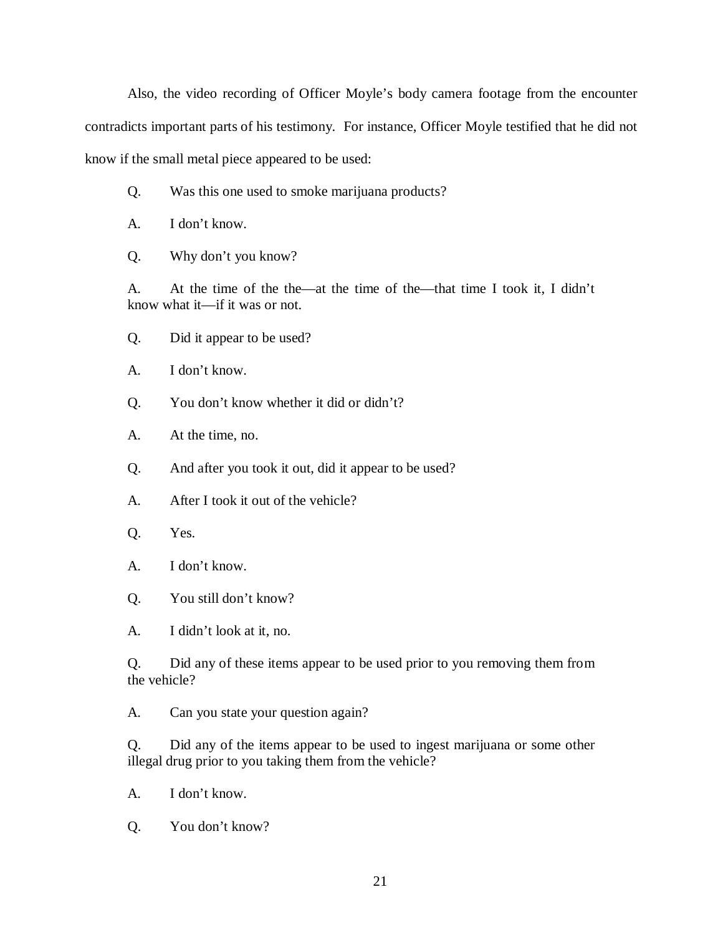Also, the video recording of Officer Moyle's body camera footage from the encounter contradicts important parts of his testimony. For instance, Officer Moyle testified that he did not know if the small metal piece appeared to be used:

- Q. Was this one used to smoke marijuana products?
- A. I don't know.
- Q. Why don't you know?

A. At the time of the the—at the time of the—that time I took it, I didn't know what it—if it was or not.

- Q. Did it appear to be used?
- A. I don't know.
- Q. You don't know whether it did or didn't?
- A. At the time, no.
- Q. And after you took it out, did it appear to be used?
- A. After I took it out of the vehicle?
- Q. Yes.
- A. I don't know.
- Q. You still don't know?
- A. I didn't look at it, no.

Q. Did any of these items appear to be used prior to you removing them from the vehicle?

A. Can you state your question again?

Q. Did any of the items appear to be used to ingest marijuana or some other illegal drug prior to you taking them from the vehicle?

- A. I don't know.
- Q. You don't know?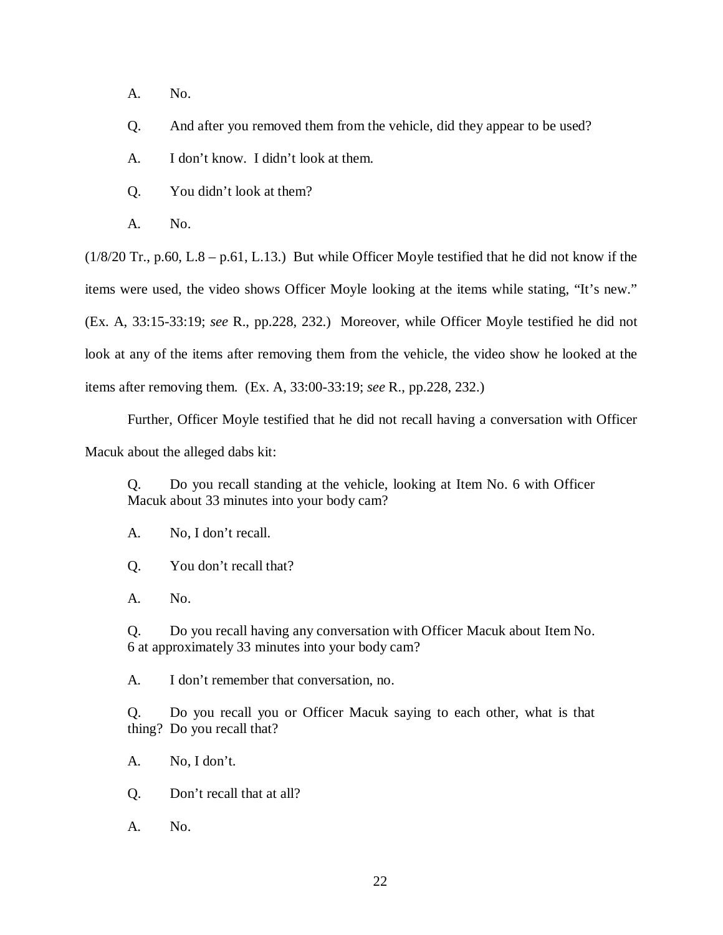A. No.

Q. And after you removed them from the vehicle, did they appear to be used?

A. I don't know. I didn't look at them.

Q. You didn't look at them?

A. No.

(1/8/20 Tr., p.60, L.8 – p.61, L.13.) But while Officer Moyle testified that he did not know if the items were used, the video shows Officer Moyle looking at the items while stating, "It's new." (Ex. A, 33:15-33:19; *see* R., pp.228, 232.) Moreover, while Officer Moyle testified he did not look at any of the items after removing them from the vehicle, the video show he looked at the items after removing them. (Ex. A, 33:00-33:19; *see* R., pp.228, 232.)

Further, Officer Moyle testified that he did not recall having a conversation with Officer

Macuk about the alleged dabs kit:

Q. Do you recall standing at the vehicle, looking at Item No. 6 with Officer Macuk about 33 minutes into your body cam?

A. No, I don't recall.

Q. You don't recall that?

A. No.

Q. Do you recall having any conversation with Officer Macuk about Item No. 6 at approximately 33 minutes into your body cam?

A. I don't remember that conversation, no.

Q. Do you recall you or Officer Macuk saying to each other, what is that thing? Do you recall that?

A. No, I don't.

Q. Don't recall that at all?

A. No.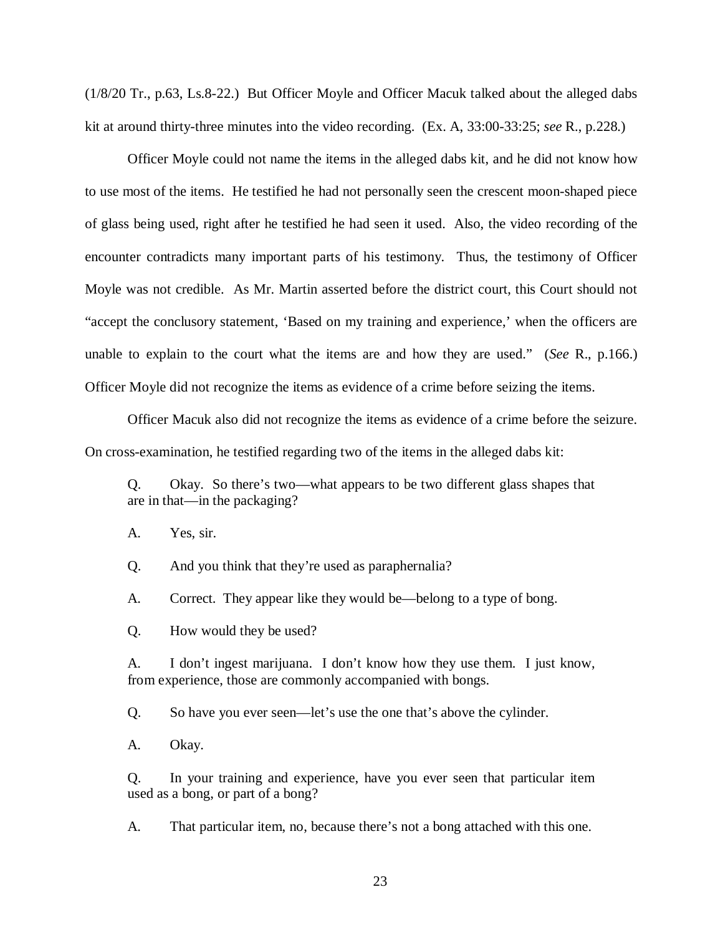(1/8/20 Tr., p.63, Ls.8-22.) But Officer Moyle and Officer Macuk talked about the alleged dabs kit at around thirty-three minutes into the video recording. (Ex. A, 33:00-33:25; *see* R., p.228.)

Officer Moyle could not name the items in the alleged dabs kit, and he did not know how to use most of the items. He testified he had not personally seen the crescent moon-shaped piece of glass being used, right after he testified he had seen it used. Also, the video recording of the encounter contradicts many important parts of his testimony. Thus, the testimony of Officer Moyle was not credible. As Mr. Martin asserted before the district court, this Court should not "accept the conclusory statement, 'Based on my training and experience,' when the officers are unable to explain to the court what the items are and how they are used." (*See* R., p.166.) Officer Moyle did not recognize the items as evidence of a crime before seizing the items.

Officer Macuk also did not recognize the items as evidence of a crime before the seizure. On cross-examination, he testified regarding two of the items in the alleged dabs kit:

Q. Okay. So there's two—what appears to be two different glass shapes that are in that—in the packaging?

A. Yes, sir.

Q. And you think that they're used as paraphernalia?

A. Correct. They appear like they would be—belong to a type of bong.

Q. How would they be used?

A. I don't ingest marijuana. I don't know how they use them. I just know, from experience, those are commonly accompanied with bongs.

Q. So have you ever seen—let's use the one that's above the cylinder.

A. Okay.

Q. In your training and experience, have you ever seen that particular item used as a bong, or part of a bong?

A. That particular item, no, because there's not a bong attached with this one.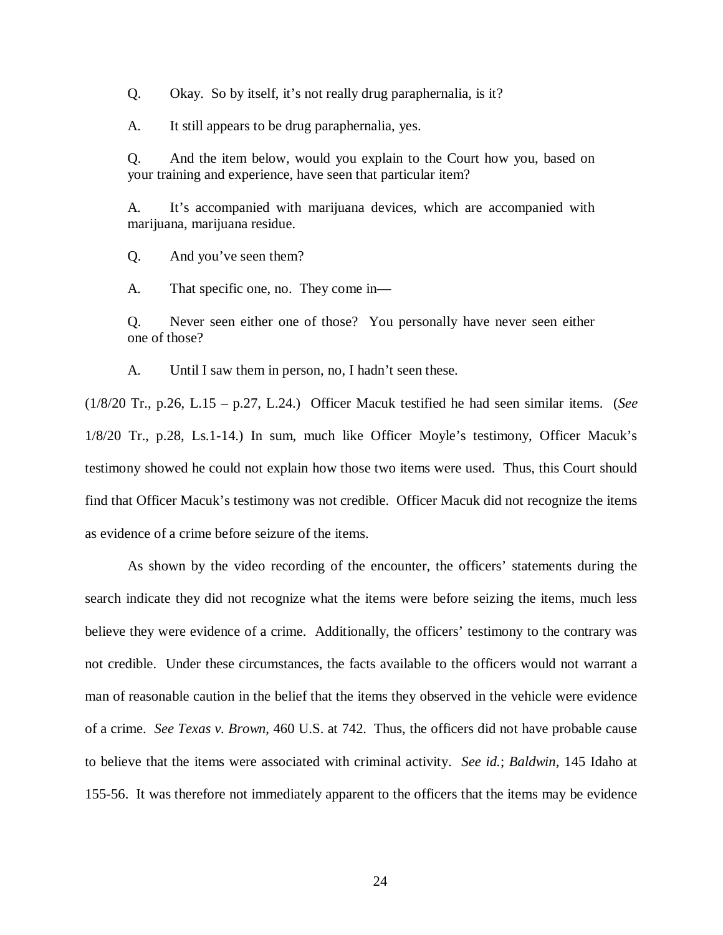Q. Okay. So by itself, it's not really drug paraphernalia, is it?

A. It still appears to be drug paraphernalia, yes.

Q. And the item below, would you explain to the Court how you, based on your training and experience, have seen that particular item?

A. It's accompanied with marijuana devices, which are accompanied with marijuana, marijuana residue.

Q. And you've seen them?

A. That specific one, no. They come in—

Q. Never seen either one of those? You personally have never seen either one of those?

A. Until I saw them in person, no, I hadn't seen these.

(1/8/20 Tr., p.26, L.15 – p.27, L.24.) Officer Macuk testified he had seen similar items. (*See* 1/8/20 Tr., p.28, Ls.1-14.) In sum, much like Officer Moyle's testimony, Officer Macuk's testimony showed he could not explain how those two items were used. Thus, this Court should find that Officer Macuk's testimony was not credible. Officer Macuk did not recognize the items as evidence of a crime before seizure of the items.

As shown by the video recording of the encounter, the officers' statements during the search indicate they did not recognize what the items were before seizing the items, much less believe they were evidence of a crime. Additionally, the officers' testimony to the contrary was not credible. Under these circumstances, the facts available to the officers would not warrant a man of reasonable caution in the belief that the items they observed in the vehicle were evidence of a crime. *See Texas v. Brown*, 460 U.S. at 742. Thus, the officers did not have probable cause to believe that the items were associated with criminal activity. *See id.*; *Baldwin*, 145 Idaho at 155-56. It was therefore not immediately apparent to the officers that the items may be evidence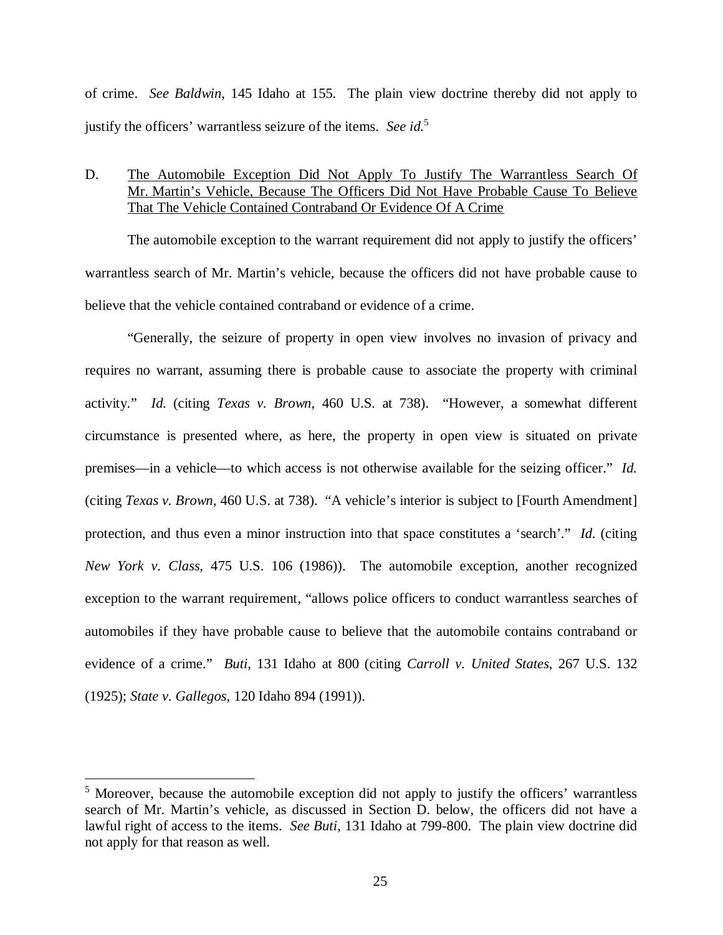of crime. *See Baldwin*, 145 Idaho at 155. The plain view doctrine thereby did not apply to justify the officers' warrantless seizure of the items. *See id.*[5](#page-29-0)

## D. The Automobile Exception Did Not Apply To Justify The Warrantless Search Of Mr. Martin's Vehicle, Because The Officers Did Not Have Probable Cause To Believe That The Vehicle Contained Contraband Or Evidence Of A Crime

The automobile exception to the warrant requirement did not apply to justify the officers' warrantless search of Mr. Martin's vehicle, because the officers did not have probable cause to believe that the vehicle contained contraband or evidence of a crime.

"Generally, the seizure of property in open view involves no invasion of privacy and requires no warrant, assuming there is probable cause to associate the property with criminal activity." *Id.* (citing *Texas v. Brown*, 460 U.S. at 738). "However, a somewhat different circumstance is presented where, as here, the property in open view is situated on private premises—in a vehicle—to which access is not otherwise available for the seizing officer." *Id.* (citing *Texas v. Brown*, 460 U.S. at 738). "A vehicle's interior is subject to [Fourth Amendment] protection, and thus even a minor instruction into that space constitutes a 'search'." *Id.* (citing *New York v. Class*, 475 U.S. 106 (1986)). The automobile exception, another recognized exception to the warrant requirement, "allows police officers to conduct warrantless searches of automobiles if they have probable cause to believe that the automobile contains contraband or evidence of a crime." *Buti*, 131 Idaho at 800 (citing *Carroll v. United States*, 267 U.S. 132 (1925); *State v. Gallegos*, 120 Idaho 894 (1991)).

<span id="page-29-0"></span><sup>&</sup>lt;sup>5</sup> Moreover, because the automobile exception did not apply to justify the officers' warrantless search of Mr. Martin's vehicle, as discussed in Section D. below, the officers did not have a lawful right of access to the items. *See Buti*, 131 Idaho at 799-800. The plain view doctrine did not apply for that reason as well.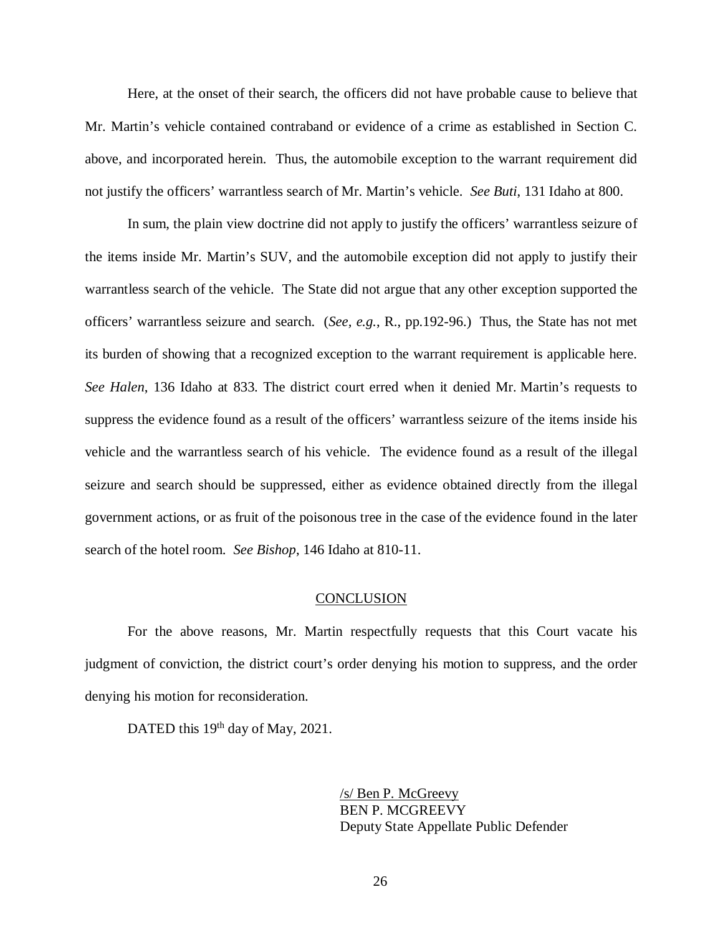Here, at the onset of their search, the officers did not have probable cause to believe that Mr. Martin's vehicle contained contraband or evidence of a crime as established in Section C. above, and incorporated herein. Thus, the automobile exception to the warrant requirement did not justify the officers' warrantless search of Mr. Martin's vehicle. *See Buti*, 131 Idaho at 800.

In sum, the plain view doctrine did not apply to justify the officers' warrantless seizure of the items inside Mr. Martin's SUV, and the automobile exception did not apply to justify their warrantless search of the vehicle. The State did not argue that any other exception supported the officers' warrantless seizure and search. (*See, e.g.*, R., pp.192-96.) Thus, the State has not met its burden of showing that a recognized exception to the warrant requirement is applicable here. *See Halen*, 136 Idaho at 833. The district court erred when it denied Mr. Martin's requests to suppress the evidence found as a result of the officers' warrantless seizure of the items inside his vehicle and the warrantless search of his vehicle. The evidence found as a result of the illegal seizure and search should be suppressed, either as evidence obtained directly from the illegal government actions, or as fruit of the poisonous tree in the case of the evidence found in the later search of the hotel room. *See Bishop*, 146 Idaho at 810-11.

#### **CONCLUSION**

For the above reasons, Mr. Martin respectfully requests that this Court vacate his judgment of conviction, the district court's order denying his motion to suppress, and the order denying his motion for reconsideration.

DATED this 19<sup>th</sup> day of May, 2021.

/s/ Ben P. McGreevy BEN P. MCGREEVY Deputy State Appellate Public Defender